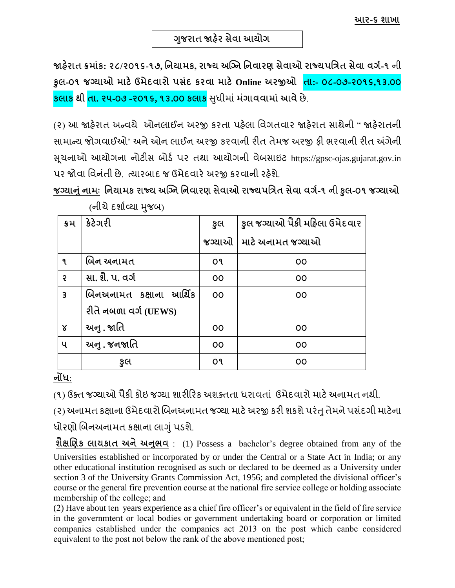જાહેરાત ક્રમાંક: ૨૮/૨૦૧૬-૧૭, નિયામક, રાજ્ય અગ્નિ નિવારણ સેવાઓ રાજ્યપત્રિત સેવા વર્ગ-૧ ની **કુલ-૦૧ જનયાઓ માટેઉમેદવારો પસાંદ કરવા માટેOnline અરજીઓ તા:- ૦૮-૦૭-૨૦૧૬,૧૩.૦૦ કલાક થી તા. ૨૫-૦૭ -૨૦૧૬, ૧૩.૦૦ કલાક** સધુ ીમ ાંમ ાં**ગાવવામાાંઆવે**છે.

(૨) આ જાહેરાત અન્વયે ઓનલાઈન અરજી કરતા પહેલા વિગતવાર જાહેરાત સાથેની " જાહેરાતની સામાન્ય જોગવાઈઓ' અને ઓન લાઈન અરજી કરવાની રીત તેમજ અરજી ફી ભરવાની રીત અંગેની સૂચનાઓ આયોગના નોટીસ બોર્ડ પર તથા આયોગની વેબસાઇટ https://gpsc-ojas.gujarat.gov.in પર જોવા વિનંતી છે. ત્યારબાદ જ ઉમેદવારે અરજી કરવાની રહેશે.

**જનયાનાંુિામઃ નિયામક રાજ્ય અગ્નિ નિવારણ સેવાઓ રાજ્યપનિત સેવા વગગ-૧** ની **કુલ-૦૧ જનયાઓ**

| ક્રમ                 | કેટેગરી                 | કૂલ | કુલ જગ્યાઓ પૈકી મહિલા ઉમેદવાર |
|----------------------|-------------------------|-----|-------------------------------|
|                      |                         |     | જગ્યાઓ   માટે અનામત જગ્યાઓ    |
| ঀ                    | બિન અનામત               | o٩  | 00                            |
| $\mathbf{S}$         | સા. શૈે. પ. વર્ગ        | 00  | 00                            |
| $\overline{3}$       | બિનઅનામત કક્ષાના આર્થિક | 00  | 00                            |
|                      | રીતે નબળા વર્ગ (UEWS)   |     |                               |
| $\mathsf{\acute{s}}$ | અનુ . જાતિ              | 00  | 00                            |
| પ                    | અનુ . જનજાતિ            | 00  | 00                            |
|                      | કુલ                     | o٩  | 00                            |

(નીચે દર્શાવ્યા મુજબ)

**િોંધ**:

(૧) ઉક્ત જગ્યાઓ પૈકી કોઇ જગ્યા શારીરિક અશક્તતા ધરાવતાં ઉમેદવારો માટે અનામત નથી.

(૨) અનામત કક્ષાના ઉમેદવારો બિનઅનામત જગ્યા માટે અરજી કરી શકશે પરંતુ તેમને પસંદગી માટેના

ધોરણો બિનઅનામત કક્ષાના લાગું પડશે.

**શૈક્ષબણક લાયકાત અિેઅનભુ વ** : (1) Possess a bachelor's degree obtained from any of the Universities established or incorporated by or under the Central or a State Act in India; or any other educational institution recognised as such or declared to be deemed as a University under section 3 of the University Grants Commission Act, 1956; and completed the divisional officer's course or the general fire prevention course at the national fire service college or holding associate membership of the college; and

(2) Have about ten years experience as a chief fire officer's or equivalent in the field of fire service in the governmtent or local bodies or government undertaking board or corporation or limited companies established under the companies act 2013 on the post which canbe considered equivalent to the post not below the rank of the above mentioned post;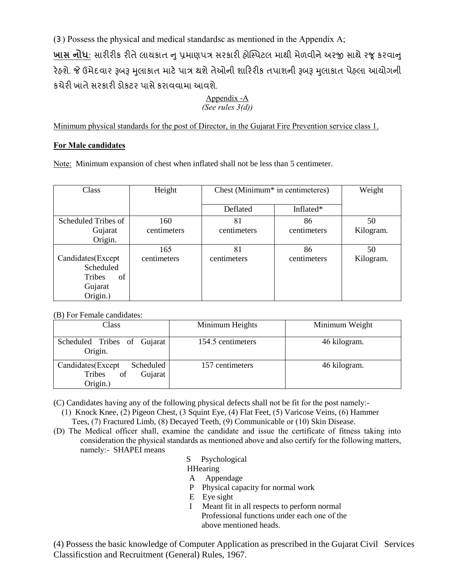(૩) Possess the physical and medical standardsc as mentioned in the Appendix A; **ખાસ નોધ**: સારીરીક રીતે લાયકાત નુ પ્રમાણપત્ર સરકારી હોસ્પિટલ માથી મેળવીને અરજી સાથે રજૂ કરવાનુ રેહશે. જે ઉમેદવાર રૂબરૂ મુલાકાત માટે પાત્ર થશે તેઓની શારિરીક તપાશની રૂબરૂ મુલાકાત પેહલા આયોગની કચેરી ખાતે સરકારી ડોકટર પાસે કરાવવામા આવશે.

#### Appendix -A *(See rules 3(d))*

Minimum physical standards for the post of Director, in the Gujarat Fire Prevention service class 1.

### **For Male candidates**

Note: Minimum expansion of chest when inflated shall not be less than 5 centimeter.

| Class               | Height      | Chest (Minimum <sup>*</sup> in centimeteres) |             | Weight    |
|---------------------|-------------|----------------------------------------------|-------------|-----------|
|                     |             | Deflated                                     | Inflated*   |           |
| Scheduled Tribes of | 160         | 81                                           | 86          | 50        |
| Gujarat             | centimeters | centimeters                                  | centimeters | Kilogram. |
| Origin.             |             |                                              |             |           |
|                     | 165         | 81                                           | 86          | 50        |
| Candidates(Except   | centimeters | centimeters                                  | centimeters | Kilogram. |
| Scheduled           |             |                                              |             |           |
| of<br><b>Tribes</b> |             |                                              |             |           |
| Gujarat             |             |                                              |             |           |
| Origin.)            |             |                                              |             |           |

(B) For Female candidates:

| Class                                                                 | Minimum Heights   | Minimum Weight |
|-----------------------------------------------------------------------|-------------------|----------------|
| Scheduled Tribes of Gujarat<br>Origin.                                | 154.5 centimeters | 46 kilogram.   |
| Candidates (Except<br>Scheduled<br>of<br>Tribes<br>Gujarat<br>Origin. | 157 centimeters   | 46 kilogram.   |

(C) Candidates having any of the following physical defects shall not be fit for the post namely:-

- (1) Knock Knee, (2) Pigeon Chest, (3 Squint Eye, (4) Flat Feet, (5) Varicose Veins, (6) Hammer Tees, (7) Fractured Limb, (8) Decayed Teeth, (9) Communicable or (10) Skin Disease.
- (D) The Medical officer shall, examine the candidate and issue the certificate of fitness taking into consideration the physical standards as mentioned above and also certify for the following matters, namely:- SHAPEI means
	- S Psychological

**HHearing** 

- A Appendage
- P Physical capacity for normal work
- E Eye sight
- I Meant fit in all respects to perform normal Professional functions under each one of the above mentioned heads.

(4) Possess the basic knowledge of Computer Application as prescribed in the Gujarat Civil Services Classificstion and Recruitment (General) Rules, 1967.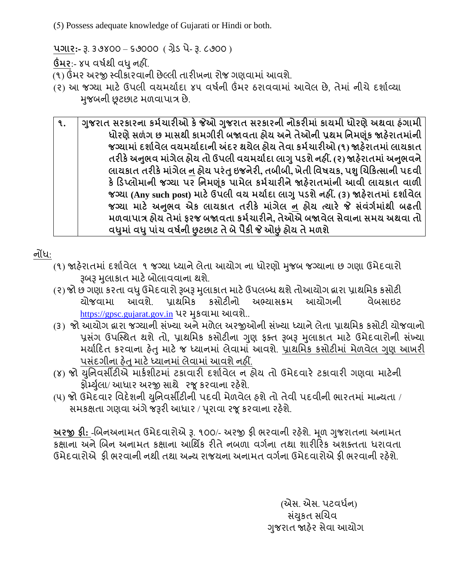(5) Possess adequate knowledge of Gujarati or Hindi or both.

**પગાર:-** રૂ. ૩૭૪૦૦ – ૬૭૦૦૦ ( ગ્રેર્ પે- રૂ. ૮૭૦૦ )

**ઉંમર**:- ૪૫ વર્ડથી વધુનહીં.

(૧) ઉંમર અરજી સ્વીકારવાની છેલ્લી તારીખના રોજ ગણવામાં આવશે.

- (૨) આ જગ્યા માટે ઉપલી વયમર્યાદા ૪૫ વર્ષની ઉંમર ઠરાવવામાં આવેલ છે. તેમાં નીચે દર્શાવ્યા મજબની છુટછાટ મળવાપાત્ર છે.
	- **૧. ગજુ રાત સરકારિા કમગચારીઓ કેજેઓ ગજુ રાત સરકારિી િોકરીમાાં કાયમી ધોરણેઅથવા હાંગામી ધોરણેસળાંગ છ માસથી કામગીરી િજાવતા હોય અિેતેઓિી પ્રથમ નિમણ ાંક જાહરે ાતમાિાં ી જનયામાાંદશાગવેલ વયમયાગદાિી અંદર થયેલ હોય તેવા કમગચારીઓ (૧) જાહરે ાતમાાંલાયકાત તરીકેઅનભુ વ માગાં ેલ હોય તો ઉપલી વયમયાગદા લાગુપડશેિહીં. (૨) જાહરે ાતમાાંઅનભુ વિે લાયકાત તરીકેમાગાં ેલ િ હોય પરાંતુઇજિેરી, તિીિી, ખેતી નવષયક, પશુબચહકત્સાિી પદવી કેહડપ્લોમાિી જનયા પર નિમણ ાંક પામેલ કમગચારીિેજાહરે ાતમાિાં ી આવી લાયકાત વાળી જનયા (Any such post) માટેઉપલી વય મયાગદા લાગુપડશેિહીં. (૩) જાહરે ાતમાાંદશાગવેલ જનયા માટે અનભુ વ એક લાયકાત તરીકે માગાં ેલ િ હોય ત્યારે જે સાંવાંગગમાાંથી િઢતી મળવાપાિ હોય તેમાાંફરજ િજાવતા કમગચારીિે, તેઓએ િજાવેલ સેવાિા સમય અથવા તો વધમુ ાાંવધુપાાંચ વષગિી છુટછાટ તેિેપૈકી જે ઓછુાંહોય તેમળશે**

નોંધ:

- (૧) જાહેરાતમાં દર્શાવેલ ૧ જગ્યા ધ્યાને લેતા આયોગ ના ધોરણો મુજબ જગ્યાના છ ગણા ઉમેદવારો રૂબરૂ મુલાકાત માટે બોલાવવાના થશે.
- (૨) જો છ ગણા કરતા વધુ ઉમેદવારો રૂબરૂ મુલાકાત માટે ઉપલબ્ધ થશે તોઆયોગ દ્વારા પ્રાથમિક કસોટી<br>ચોજવામા આવશે પાથમિક કસોટીનો અભ્યાસક્રમ આયોગની વેબસાઇટ યાભ્યાસક્રમ [https://gpsc.gujarat.gov.in](https://gpsc.gujarat.gov.in/) પર મુકવામા આવશે..
- (૩) જો આયોગ દ્વારા જગ્યાની સંખ્યા અને મળેલ અરજીઓની સંખ્યા ધ્યાને લેતા પ્રાથમિક કસોટી યોજવાનો પ્રસંગ ઉપસ્થિત થશે તો, પ્રાથમિક કસોટીના ગુણ ફક્ત રૂબરૂ મુલાકાત માટે ઉમેદવારોની સંખ્યા મર્યાદિત કરવાના હેતુ માટે જ ધ્યાનમાં લેવામાં આવશે. પ્રાથમિક કસોટીમાં મેળવેલ ગુણ આખરી પસંદગીના હેતુ માટે ધ્યાનમાં લેવામાં આવશે નહીં.
- (४) જો યુનિવર્સીટીએ માર્કશીટમાં ટકાવારી દર્શાવેલ ન હોય તો ઉમેદવારે ટકાવારી ગણવા માટેની કોર્મ્યુલા/ આધાર અરજી સાથે રજૂ કરવાના રહેશે.
- (૫) જો ઉમેદવાર વિદેશની યુનિવર્સીટીની પદવી મેળવેલ હશે તો તેવી પદવીની ભારતમાં માન્યતા / સમકક્ષતા ગણવા અંગે જરૂરી આધાર / પૂરાવા રજૂ કરવાના રહેશે.

**અરજી ફી:** -બબનઅન મત ઉમેદવ રોએ રૂ. ૧૦૦/- અરજી ફી ભરવ ની રહશે ે. મ ૂળ ગજુ ર તન અન મત કક્ષાના અને બિન અનામત કક્ષાના આર્થિક રીતે નબળા વર્ગના તથા શારીરિક અશક્તતા ધરાવતા ઉમેદવારોએ ફી ભરવાની નથી તથા અન્ય રાજયના અનામત વર્ગના ઉમેદવારોએ ફી ભરવાની રહેશે.

> (એસ. એસ. પટવર્ધન) સંયુકત સચિવ ગુજરાત જાહેર સેવા આયોગ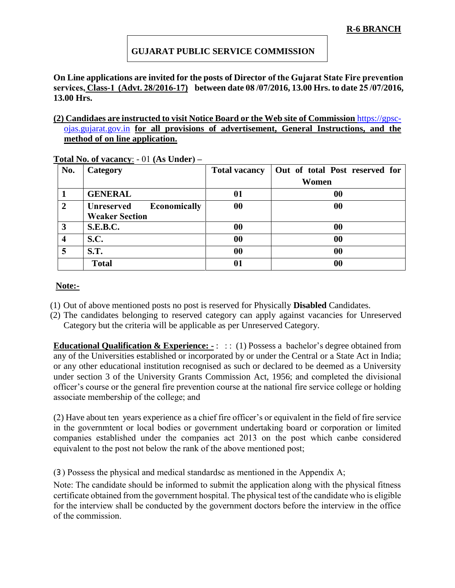### **GUJARAT PUBLIC SERVICE COMMISSION**

**On Line applications are invited for the posts of Director of the Gujarat State Fire prevention services, Class-1 (Advt. 28/2016-17) between date 08 /07/2016, 13.00 Hrs. to date 25 /07/2016, 13.00 Hrs.** 

#### **(2) Candidaes are instructed to visit Notice Board or the Web site of Commission** [https://gpsc](https://gpsc-ojas.gujarat.gov.in/)[ojas.gujarat.gov.in](https://gpsc-ojas.gujarat.gov.in/) **for all provisions of advertisement, General Instructions, and the method of on line application.**

| No.            | Category                                                   | <b>Total vacancy</b> | Out of total Post reserved for |
|----------------|------------------------------------------------------------|----------------------|--------------------------------|
|                |                                                            |                      | Women                          |
|                | <b>GENERAL</b>                                             | $\boldsymbol{0}$     | 00                             |
| $\overline{2}$ | Economically<br><b>Unreserved</b><br><b>Weaker Section</b> | 00                   | 00                             |
| 3              | <b>S.E.B.C.</b>                                            | $\boldsymbol{00}$    | 00                             |
| 4              | S.C.                                                       | 00                   | 00                             |
| 5              | <b>S.T.</b>                                                | 00                   | 00                             |
|                | <b>Total</b>                                               |                      | $\boldsymbol{00}$              |

**Total No. of vacancy**: - 01 **(As Under) –**

### **Note:-**

- (1) Out of above mentioned posts no post is reserved for Physically **Disabled** Candidates.
- (2) The candidates belonging to reserved category can apply against vacancies for Unreserved Category but the criteria will be applicable as per Unreserved Category.

**Educational Qualification & Experience:** -: :: (1) Possess a bachelor's degree obtained from any of the Universities established or incorporated by or under the Central or a State Act in India; or any other educational institution recognised as such or declared to be deemed as a University under section 3 of the University Grants Commission Act, 1956; and completed the divisional officer's course or the general fire prevention course at the national fire service college or holding associate membership of the college; and

(2) Have about ten years experience as a chief fire officer's or equivalent in the field of fire service in the governmtent or local bodies or government undertaking board or corporation or limited companies established under the companies act 2013 on the post which canbe considered equivalent to the post not below the rank of the above mentioned post;

(૩) Possess the physical and medical standardsc as mentioned in the Appendix A;

Note: The candidate should be informed to submit the application along with the physical fitness certificate obtained from the government hospital. The physical test of the candidate who is eligible for the interview shall be conducted by the government doctors before the interview in the office of the commission.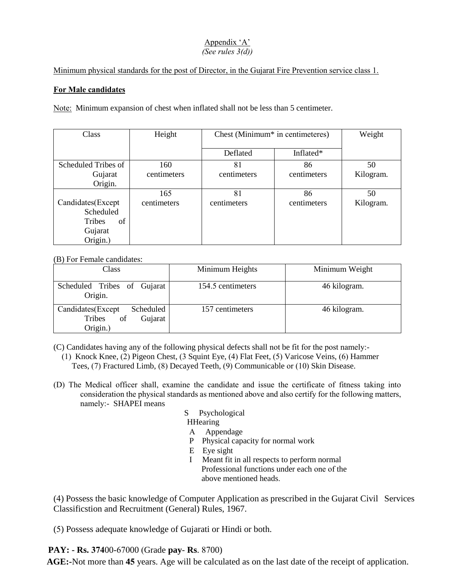# Appendix 'A'

### *(See rules 3(d))*

Minimum physical standards for the post of Director, in the Gujarat Fire Prevention service class 1.

### **For Male candidates**

Note: Minimum expansion of chest when inflated shall not be less than 5 centimeter.

| Class               | Height      | Chest (Minimum <sup>*</sup> in centimeteres) |             | Weight    |
|---------------------|-------------|----------------------------------------------|-------------|-----------|
|                     |             | Deflated                                     | Inflated*   |           |
| Scheduled Tribes of | 160         | 81                                           | 86          | 50        |
| Gujarat             | centimeters | centimeters                                  | centimeters | Kilogram. |
| Origin.             |             |                                              |             |           |
|                     | 165         | 81                                           | 86          | 50        |
| Candidates(Except   | centimeters | centimeters                                  | centimeters | Kilogram. |
| Scheduled           |             |                                              |             |           |
| of<br><b>Tribes</b> |             |                                              |             |           |
| Gujarat             |             |                                              |             |           |
| Origin.)            |             |                                              |             |           |

(B) For Female candidates:

| Class                                                                  | Minimum Heights   | Minimum Weight |
|------------------------------------------------------------------------|-------------------|----------------|
| Scheduled Tribes of Gujarat<br>Origin.                                 | 154.5 centimeters | 46 kilogram.   |
| Candidates (Except<br>Scheduled<br>of<br>Gujarat<br>Tribes<br>Origin.) | 157 centimeters   | 46 kilogram.   |

(C) Candidates having any of the following physical defects shall not be fit for the post namely:-

- (1) Knock Knee, (2) Pigeon Chest, (3 Squint Eye, (4) Flat Feet, (5) Varicose Veins, (6) Hammer Tees, (7) Fractured Limb, (8) Decayed Teeth, (9) Communicable or (10) Skin Disease.
- (D) The Medical officer shall, examine the candidate and issue the certificate of fitness taking into consideration the physical standards as mentioned above and also certify for the following matters, namely:- SHAPEI means
	- S Psychological
	- **HHearing**
	- A Appendage
	- P Physical capacity for normal work
	- E Eye sight
	- I Meant fit in all respects to perform normal Professional functions under each one of the above mentioned heads.

(4) Possess the basic knowledge of Computer Application as prescribed in the Gujarat Civil Services Classificstion and Recruitment (General) Rules, 1967.

(5) Possess adequate knowledge of Gujarati or Hindi or both.

**PAY: - Rs. 374**00-67000 (Grade **pay**- **Rs**. 8700)

 **AGE:-**Not more than **45** years. Age will be calculated as on the last date of the receipt of application.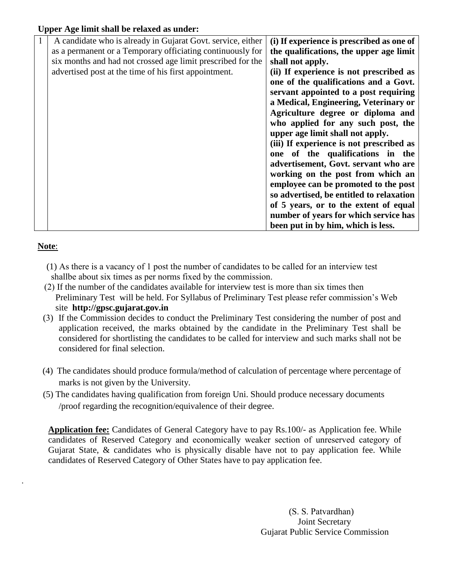### **Upper Age limit shall be relaxed as under:**

| A candidate who is already in Gujarat Govt. service, either | (i) If experience is prescribed as one of |
|-------------------------------------------------------------|-------------------------------------------|
| as a permanent or a Temporary officiating continuously for  | the qualifications, the upper age limit   |
| six months and had not crossed age limit prescribed for the | shall not apply.                          |
| advertised post at the time of his first appointment.       | (ii) If experience is not prescribed as   |
|                                                             | one of the qualifications and a Govt.     |
|                                                             | servant appointed to a post requiring     |
|                                                             | a Medical, Engineering, Veterinary or     |
|                                                             | Agriculture degree or diploma and         |
|                                                             | who applied for any such post, the        |
|                                                             | upper age limit shall not apply.          |
|                                                             | (iii) If experience is not prescribed as  |
|                                                             | one of the qualifications in the          |
|                                                             | advertisement, Govt. servant who are      |
|                                                             | working on the post from which an         |
|                                                             | employee can be promoted to the post      |
|                                                             | so advertised, be entitled to relaxation  |
|                                                             | of 5 years, or to the extent of equal     |
|                                                             | number of years for which service has     |
|                                                             | been put in by him, which is less.        |

### **Note**:

.

- (1) As there is a vacancy of 1 post the number of candidates to be called for an interview test shallbe about six times as per norms fixed by the commission.
- (2) If the number of the candidates available for interview test is more than six times then Preliminary Test will be held. For Syllabus of Preliminary Test please refer commission's Web site **http://gpsc.gujarat.gov.in**
- (3) If the Commission decides to conduct the Preliminary Test considering the number of post and application received, the marks obtained by the candidate in the Preliminary Test shall be considered for shortlisting the candidates to be called for interview and such marks shall not be considered for final selection.
- (4) The candidates should produce formula/method of calculation of percentage where percentage of marks is not given by the University.
- (5) The candidates having qualification from foreign Uni. Should produce necessary documents /proof regarding the recognition/equivalence of their degree.

 **Application fee:** Candidates of General Category have to pay Rs.100/- as Application fee. While candidates of Reserved Category and economically weaker section of unreserved category of Gujarat State, & candidates who is physically disable have not to pay application fee. While candidates of Reserved Category of Other States have to pay application fee.

> (S. S. Patvardhan) Joint Secretary Gujarat Public Service Commission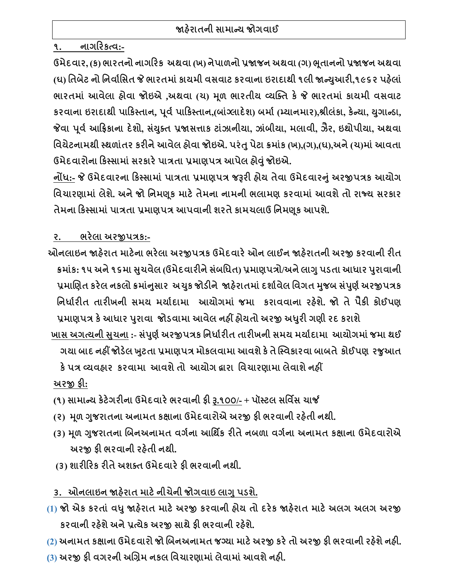**૧. િાગહરકત્વ:-**

ઉમેદવાર, (ક) ભારતનો નાગરિક અથવા (ખ) નેપાળનો પ્રજાજન અથવા (ગ) ભૂતાનનો પ્રજાજન અથવા **(ઘ) નતિેટ િો નિવાગનસત જે ભારતમાાંકાયમી વસવાટ કરવાિા ઇરાદાથી ૧લી જાન્યઆુ રી,૧૯૬૨ પહલે ાાં ભારતમાાં આવેલા હોવા જોઇએ ,અથવા (ચ) મ ળ ભારતીય વ્યગ્તત કે જે ભારતમાાં કાયમી વસવાટ** કરવાના ઇરાદાથી પાકિસ્તાન, પૂર્વ પાકિસ્તાન,(બાંગ્લાદેશ) બર્મા (મ્યાનમાર),શ્રીલંકા, કેન્યા, યુગાન્ડા, **જેવા પ વગઆહિકાિા દેશો, સયાં તુત પ્રજાસત્તાક ટાાંઝાિીયા, ઝાાંિીયા, મલાવી, ઝૈર, ઇથોપીયા, અથવા** વિચેટનામથી સ્થળાંતર કરીને આવેલ હોવા જોઇએ. પરંતુ પેટા ક્રમાંક (ખ),(ગ),(ધ),અને (ચ)માં આવતા **ઉમેદવારોિા હકસ્સામાાંસરકારેપાિતા પ્રમાણપિ આપેલ હોવાંુજોઇએ.** 

**િોંધ:- જે ઉમેદવારિા હકસ્સામાાં પાિતા પ્રમાણપિ જરૂરી હોય તેવા ઉમેદવારનાંુઅરજીપિક આયોગ નવચારણામાાં લેશ. ેઅિેજો નિમણ ક માટેતેમિા િામિી ભલામણ કરવામાાં આવશેતો રાજ્ય સરકાર તેમિા હકસ્સામાાંપાિતા પ્રમાણપિ આપવાિી શરતેકામચલાઉ નિમણ ક આપશ. ે**

**ર. ભરેલા અરજીપિક:-**

- **ઓિલાઇિ જાહરે ાત માટેિા ભરેલા અરજીપિક ઉમેદવારેઓિ લાઈિ જાહરે ાતિી અરજી કરવાિી રીત ક્રમાાંક: ૧૫ અિે૧૬મા સચુ વેલ (ઉમેદવારીિેસાંિનધત) પ્રમાણપિો/અિેલાગુપડતા આધાર પરુાવાિી પ્રમાબણત કરેલ િકલો ક્રમાનાં સુ ાર અચકુ જોડીિે જાહરે ાતમાાંદશાગવેલ નવગત મજુ િ સપાં ણુ ગઅરજીપિક નિધાગરીત તારીખિી સમય મયાગદામા આયોગમાાં જમા કરાવવાિા રહશે . ે જો તેપૈકી કોઈપણ**
- **પ્રમાણપિ કેઆધાર પરુાવા જોડવામા આવેલ િહીં હોયતો અરજી અધરુી ગણી રદ કરાશે ખાસ અગત્યિી સચુ િા :- સપાં ણુ ગઅરજીપિક નિધાગરીત તારીખિી સમય મયાગદામા આયોગમાાંજમા થઈ ગયા િાદ િહીં જોડેલ ખટુતા પ્રમાણપિ મોકલવામા આવશેકેતેગ્સ્વકારવા િાિતે કોઈપણ રજુઆત કેપિ વ્યવહાર કરવામા આવશેતો આયોગ દ્વારા નવચારણામા લેવાશેિહીં**

**અરજી ફી:**

- **(૧) સામાન્ય કેટેગરીિા ઉમેદવારેભરવાિી ફી રૂ.૧૦૦/- + પૉસ્ટલ સનવિસ ચાર્જ**
- **(૨) મ ળ ગજુ રાતિા અિામત કક્ષાિા ઉમેદવારોએ અરજી ફી ભરવાિી રહતે ી િથી.**
- **(૩) મ ળ ગજુ રાતિા બિિઅિામત વગગિા આનથિક રીતેિિળા વગગિા અિામત કક્ષાિા ઉમેદવારોએ અરજી ફી ભરવાિી રહતે ી િથી.**
- **(૩) શારીહરક રીતેઅશતત ઉમેદવારેફી ભરવાિી િથી.**
- **૩. ઓિલાઇિ જાહરે ાત માટેિીચેિી જોગવાઇ લાગુપડશે.**
- **(1) જો એક કરતાાં વધુજાહરે ાત માટેઅરજી કરવાિી હોય તો દરેક જાહરે ાત માટેઅલગ અલગ અરજી કરવાિી રહશે ેઅિેપ્રત્યેક અરજી સાથેફી ભરવાિી રહશે ે.**
- **(2) અિામત કક્ષાિા ઉમેદવારો જો બિિઅિામત જનયા માટેઅરજી કરેતો અરજી ફી ભરવાિી રહશે ેિહી.**
- **(3) અરજી ફી વગરિી અબિમ િકલ નવચારણામાાંલેવામાાંઆવશેિહી.**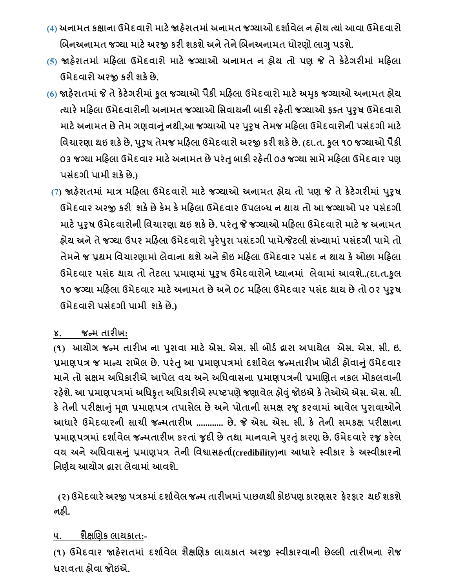- **(4) અિામત કક્ષાિા ઉમેદવારો માટેજાહરે ાતમાાંઅિામત જનયાઓ દશાગવેલ િ હોય ત્યાાંઆવા ઉમેદવારો બિિઅિામત જનયા માટેઅરજી કરી શકશેઅિેતેિેબિિઅિામત ધોરણો લાગુપડશે.**
- **(5) જાહરે ાતમાાં મહહલા ઉમેદવારો માટે જનયાઓ અિામત િ હોય તો પણ જે તેકેટેગરીમાાં મહહલા ઉમેદવારો અરજી કરી શકેછે.**
- **(6) જાહરે ાતમાાંજે તેકેટેગરીમાાંકુલ જનયાઓ પૈકી મહહલા ઉમેદવારો માટેઅમકુ જનયાઓ અિામત હોય ત્યારેમહહલા ઉમેદવારોિી અિામત જનયાઓ નસવાયિી િાકી રહતે ી જનયાઓ ફતત પરુુષ ઉમેદવારો માટેઅિામત છેતેમ ગણવાનાંુિથી,આ જનયાઓ પર પરુુષ તેમજ મહહલા ઉમેદવારોિી પસાંદગી માટે નવચારણા થઇ શકેછે, પરુુષ તેમજ મહહલા ઉમેદવારો અરજી કરી શકેછે. (દા.ત. કુલ ૧૦ જનયાઓ પૈકી ૦૩ જનયા મહહલા ઉમેદવાર માટેઅિામત છેપરાંતુિાકી રહતે ી ૦૭ જનયા સામેમહહલા ઉમેદવાર પણ પસાંદગી પામી શકેછે.)**
	- **(7) જાહરે ાતમાાં માિ મહહલા ઉમેદવારો માટેજનયાઓ અિામત હોય તો પણ જે તેકેટેગરીમાાં પરુુષ ઉમેદવાર અરજી કરી શકેછેકેમ કેમહહલા ઉમેદવાર ઉપલબ્ધ િ થાય તો આ જનયાઓ પર પસાંદગી માટેપરુુષ ઉમેદવારોિી નવચારણા થઇ શકેછે. પરાંતુજે જનયાઓ મહહલા ઉમેદવારો માટેજ અિામત હોય અિેતેજનયા ઉપર મહહલા ઉમેદવારો પરુેપરુા પસાંદગી પામે/જેટલી સાંખ્યામાાંપસાંદગી પામેતો તેમિેજ પ્રથમ નવચારણામાાં લેવાિા થશેઅિેકોઇ મહહલા ઉમેદવાર પસાંદ િ થાય કેઓછા મહહલા ઉમેદવાર પસાંદ થાય તો તેટલા પ્રમાણમાાં પરુુષ ઉમેદવારોિેધ્યાિમાાં લેવામાાં આવશે..(દા.ત.કુલ ૧૦ જનયા મહહલા ઉમેદવાર માટેઅિામત છેઅિે૦૮ મહહલા ઉમેદવાર પસાંદ થાય છેતો ૦૨ પરુુષ ઉમેદવારો પસાંદગી પામી શકેછે.)**

## **૪. જન્મ તારીખ:**

(૧) આયોગ જન્મ તારીખ ના પુરાવા માટે એસ. એસ. સી બોર્ડ દ્રારા અપાયેલ એસ. એસ. સી. ઇ. **પ્રમાણપિ જ માન્ય રાખેલ છે. પરાંતુઆ પ્રમાણપિમાાં દશાગવેલ જન્મતારીખ ખોટી હોવાનાંુઉમેદવાર માિેતો સક્ષમ અનધકારીએ આપેલ વય અિેઅનધવાસિા પ્રમાણપિિી પ્રમાબણત િકલ મોકલવાિી રહશે ે. આ પ્રમાણપિમાાંઅનધકૃત અનધકારીએ સ્પષ્ટપણેજણાવેલ હોવાંુજોઇએ કેતેઓએ એસ. એસ. સી. કેતેિી પરીક્ષાનાંુમ ળ પ્રમાણપિ તપાસેલ છેઅિેપોતાિી સમક્ષ રજ કરવામાાં આવેલ પરુાવાઓિે આધારે ઉમેદવારિી સાચી જન્મતારીખ ............ છે. જે એસ. એસ. સી. કે તેિી સમકક્ષ પરીક્ષાિા પ્રમાણપિમાાં દશાગવેલ જન્મતારીખ કરતાાં જુદી છેતથા માિવાિેપરુતાંુકારણ છે. ઉમેદવારેરજુકરેલ વય અિેઅનધવાસનાંુપ્રમાણપિ તેિી નવશ્વાસહતાગ(credibility)િા આધારે સ્વીકાર કે અસ્વીકારિો નિણગય આયોગ દ્વારા લેવામાાંઆવશે.**

 **(૨) ઉમેદવારેઅરજી પિકમાાંદશાગવેલ જન્મ તારીખમાાંપાછળથી કોઇપણ કારણસર ફેરફાર થઈ શકશે િહી.**

## **૫. શૈક્ષબણક લાયકાત:-**

**(૧) ઉમેદવાર જાહરે ાતમાાં દશાગવેલ શૈક્ષબણક લાયકાત અરજી સ્વીકારવાિી છેલ્લી તારીખિા રોજ ધરાવતા હોવા જોઇએ.**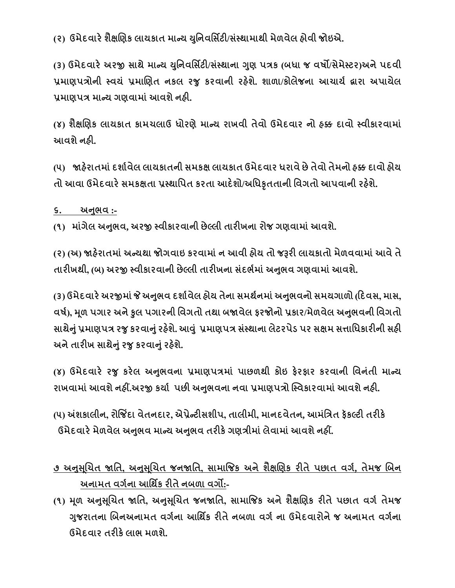**(૨) ઉમેદવારેશૈક્ષબણક લાયકાત માન્ય યનુિવનસિટી/સાંસ્થામાથી મેળવેલ હોવી જોઇએ.**

**(૩) ઉમેદવારેઅરજી સાથેમાન્ય યનુિવનસિટી/સાંસ્થાિા ગણુ પિક (િધા જ વષો/સેમેસ્ટર)અિેપદવી પ્રમાણપિોિી સ્વયાં પ્રમાબણત િકલ રજુ કરવાિી રહશે ે. શાળા/કોલેજિા આચાયગ દ્વારા અપાયેલ પ્રમાણપિ માન્ય ગણવામાાંઆવશેિહી.**

**(૪) શૈક્ષબણક લાયકાત કામચલાઉ ધોરણેમાન્ય રાખવી તેવો ઉમેદવાર િો હક્ક દાવો સ્વીકારવામાાં આવશેિહી.**

**(૫) જાહરે ાતમાાંદશાગવેલ લાયકાતિી સમકક્ષ લાયકાત ઉમેદવાર ધરાવેછેતેવો તેમિો હક્ક દાવો હોય તો આવા ઉમેદવારેસમકક્ષતા પ્રસ્થાનપત કરતા આદેશો/અનધકૃતતાિી નવગતો આપવાિી રહશે ે.**

**૬. અનભુ વ :-**

**(૧) માગાં ેલ અનભુ વ, અરજી સ્વીકારવાિી છેલ્લી તારીખિા રોજ ગણવામાાંઆવશે.** 

**(૨) (અ) જાહરે ાતમાાંઅન્યથા જોગવાઇ કરવામાાંિ આવી હોય તો જરૂરી લાયકાતો મેળવવામાાંઆવેતે તારીખથી, (િ) અરજી સ્વીકારવાિી છેલ્લી તારીખિા સાંદભગમાાંઅનભુ વ ગણવામાાંઆવશે.** 

**(૩) ઉમેદવારેઅરજીમાાંજે અનભુ વ દશાગવેલ હોય તેિા સમથગિમાાંઅનભુ વિો સમયગાળો (હદવસ, માસ, વષગ), મ ળ પગાર અિેકુલ પગારિી નવગતો તથા િજાવેલ ફરજોિો પ્રકાર/મેળવેલ અનભુ વિી નવગતો સાથેનાંુપ્રમાણપિ રજુકરવાનાંુરહશે ે. આવ ાંુપ્રમાણપિ સાંસ્થાિા લેટરપેડ પર સક્ષમ સત્તાનધકારીિી સહી અિેતારીખ સાથેનાંુરજુકરવાનાંુરહશે .ે**

**(૪) ઉમેદવારે રજુ કરેલ અનભુ વિા પ્રમાણપિમાાં પાછળથી કોઇ ફેરફાર કરવાિી નવિાંતી માન્ય રાખવામાાંઆવશેિહીં.અરજી કયાગ પછી અનભુ વિા િવા પ્રમાણપિો ગ્સ્વકારવામાાંઆવશેિહી.**

**(૫) અંશકાલીિ, રોજજિંદા વેતિદાર, એપ્રેન્ટીસશીપ, તાલીમી, માિદવેતિ, આમાંનિત ફૅકલ્ટી તરીકે ઉમેદવારેમેળવેલ અનભુ વ માન્ય અનભુ વ તરીકેગણિીમાાંલેવામાાંઆવશેિહીં.**

**૭ અનસુ બ ચત જાનત, અનસુ બ ચત જિજાનત, સામાજજક અિેશૈક્ષબણક રીતેપછાત વગગ, તેમજ બિિ અિામત વગગિા આનથિક રીતેિિળા વગો:-**

**(૧) મ ળ અનસુ બ ચત જાનત, અનસુ બ ચત જિજાનત, સામાજજક અિેશૈક્ષબણક રીતેપછાત વગગ તેમજ ગજુ રાતિા બિિઅિામત વગગિા આનથિક રીતેિિળા વગગ િા ઉમેદવારોિેજ અિામત વગગિા ઉમેદવાર તરીકેલાભ મળશે.**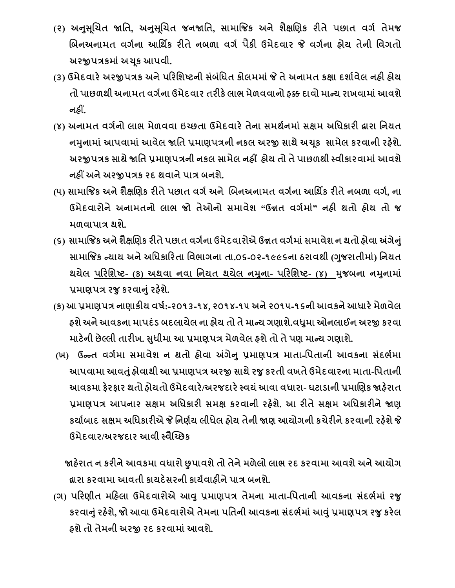- **(૨) અનસુ બ ચત જાનત, અનસુ બ ચત જિજાનત, સામાજજક અિે શૈક્ષબણક રીતે પછાત વગગ તેમજ બિિઅિામત વગગિા આનથિક રીતેિિળા વગગ પૈકી ઉમેદવાર જે વગગિા હોય તેિી નવગતો અરજીપિકમાાંઅચ ક આપવી.**
- **(૩) ઉમેદવારેઅરજીપિક અિેપહરનશષ્ટિી સાંિાંનધત કોલમમાાંજે તેઅિામત કક્ષા દશાગવેલ િહી હોય તો પાછળથી અિામત વગગિા ઉમેદવાર તરીકેલાભ મેળવવાિો હક્ક દાવો માન્ય રાખવામાાંઆવશે િહીં.**
- **(૪) અિામત વગગિો લાભ મેળવવા ઇચ્છતા ઉમેદવારેતેિા સમથગિમાાં સક્ષમ અનધકારી દ્વારા નિયત િમિુ ામાાંઆપવામાાંઆવેલ જાનત પ્રમાણપિિી િકલ અરજી સાથેઅચ ક સામેલ કરવાિી રહશે . ે અરજીપિક સાથેજાનત પ્રમાણપિિી િકલ સામેલ િહીં હોય તો તેપાછળથી સ્વીકારવામાાંઆવશે િહીં અિેઅરજીપિક રદ થવાિેપાિ િિશ.ે**
- **(૫) સામાજજક અિેશૈક્ષબણક રીતેપછાત વગગઅિે બિિઅિામત વગગિા આનથિક રીતેિિળા વગગ, િા ઉમેદવારોિેઅિામતિો લાભ જો તેઓિો સમાવેશ "ઉન્નત વગગમાાં" િહી થતો હોય તો જ મળવાપાિ થશે.**
- **(૬) સામાજજક અિેશૈક્ષબણક રીતેપછાત વગગિા ઉમેદવારોએ ઉન્નત વગગમાાંસમાવેશ િ થતો હોવા અંગેનાંુ સામાજજક ન્યાય અિેઅનધકાહરતા નવભાગિા તા.૦૬-૦૨-૧૯૯૬િા ઠરાવથી (ગજુ રાતીમા) ાં નિયત** થયેલ <u>પરિશિષ્ટ- (ક) અથવા નવા નિયત થયેલ નમુના- પરિશિષ્ટ- (૪) મ</u>ુજબના નમુનામાં **પ્રમાણપિ રજુકરવાનાંુરહશે ે.**
- **(ક) આપ્રમાણપિ િાણાકીય વષગ:-૨૦૧૩-૧૪, ૨૦૧૪-૧૫ અિે૨૦૧૫-૧૬િીઆવકિેઆધારેમેળવેલ હશેઅિેઆવકિા માપદાંડ િદલાયેલ િા હોય તો તેમાન્ય ગણાશે.વધમુ ા ઓિલાઈિ અરજી કરવા માટેિી છેલ્લી તારીખ. સધુ ીમા આ પ્રમાણપિ મેળવેલ હશેતો તેપણ માન્ય ગણાશે.**
- **(ખ) ઉન્ન્ત વગગમા સમાવેશ િ થતો હોવા અંગેનુપ્રમાણપિ માતા-નપતાિી આવકિા સાંદભગમા આપવામા આવતાંુહોવાથી આ પ્રમાણપિ અરજી સાથેરજુકરતી વખતેઉમેદવારિા માતા-નપતાિી આવકમા ફેરફાર થતો હોયતો ઉમેદવારે/અરજદારેસ્વયાંઆવા વધારા- ઘટાડાિી પ્રમાબણક જાહરે ાત પ્રમાણપિ આપિાર સક્ષમ અનધકારી સમક્ષ કરવાિી રહશે ે. આ રીતેસક્ષમ અનધકારીિેજાણ કયાગિાદ સક્ષમ અનધકારીએ જે નિણગય લીધેલ હોય તેિી જાણ આયોગિી કચેરીિેકરવાિી રહશે ેજે ઉમેદવાર/અરજદાર આવી સ્વૈચ્ચ્છક**

 **જાહરે ાત િ કરીિેઆવકમા વધારો છુપાવશેતો તેિેમળેલો લાભ રદ કરવામા આવશેઅિેઆયોગ દ્વારા કરવામા આવતી કાયદેસરિી કાયગવાહીિેપાિ િિશે.** 

**(ગ) પહરણીત મહહલા ઉમેદવારોએ આવુપ્રમાણપિ તેમિા માતા-નપતાિી આવકિા સાંદભગમાાં રજુ કરવાનાંુરહશે ે, જો આવા ઉમેદવારોએ તેમિા પનતિી આવકિા સાંદભગમાાંઆવાંુપ્રમાણપિ રજુકરેલ હશેતો તેમિી અરજી રદ કરવામાાંઆવશે.**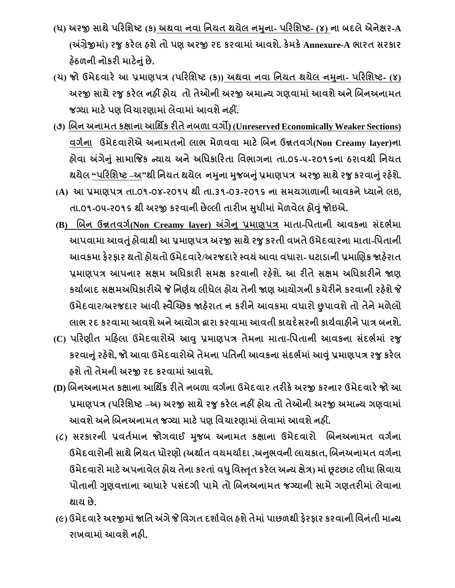- (ધ) અરજી સાથે પરિશિષ્ટ (ક) અથવા નવા નિયત થયેલ નમુના- પરિશિષ્ટ- (૪) ના બદલે એનેક્ષર-A **(અંિેજીમા)ાં રજુકરેલ હશેતો પણ અરજી રદ કરવામાાંઆવશે. કેમકેAnnexure-A ભારત સરકાર હઠે ળિી િોકરી માટેનાંુછે.**
- (ય) જો ઉમેદવારે આ પ્રમાણપત્ર (પરિશિષ્ટ (ક)) અથવા નવા નિયત થયેલ નમુના- પરિશિષ્ટ- (૪) **અરજી સાથેરજુકરેલ િહીં હોય તો તેઓિી અરજી અમાન્ય ગણવામાાંઆવશેઅિેબિિઅિામત જનયા માટેપણ નવચારણામાાંલેવામાાંઆવશેિહીં.**
- **(૭) બિિ અિામત કક્ષાિા આનથિક રીતેિિળા વગો) (Unreserved Economically Weaker Sections) વગગિા ઉમેદવારોએ અિામતિો લાભ મેળવવા માટેબિિ ઉન્નતવગગ(Non Creamy layer)િા હોવા અંગેનાંુસામાજજક ન્યાય અિેઅનધકાહરતા નવભાગિા તા.૦૬-૫-૨૦૧૬િા ઠરાવથી નિયત થયેલ "પહરનશષ્ટ –અ"થી નિયત થયેલ િમિુ ા મજુ િનાંુપ્રમાણપિ અરજી સાથેરજુકરવાનાંુરહશે . ે**
- (A) આ પ્રમાણપત્ર તા.01-08-2014 થી તા.31-03-2015 ના સમયગાળાની આવકને ધ્યાને લઇ, **તા.૦૧-૦૫-ર૦૧૬ થી અરજી કરવાિી છેલ્લી તારીખ સધુ ીમાાંમેળવેલ હોવાંુજોઇએ.**
- **(B) બિિ ઉન્નતવગગ(Non Creamy layer) અંગેનુપ્રમાણપિ માતા-નપતાિી આવકિા સાંદભગમા આપવામા આવતાંુહોવાથી આ પ્રમાણપિ અરજી સાથેરજુકરતી વખતેઉમેદવારિા માતા-નપતાિી આવકમા ફેરફાર થતો હોયતો ઉમેદવારે/અરજદારેસ્વયાંઆવા વધારા- ઘટાડાિી પ્રમાબણક જાહરે ાત પ્રમાણપિ આપિાર સક્ષમ અનધકારી સમક્ષ કરવાિી રહશે ે. આ રીતેસક્ષમ અનધકારીિેજાણ કયાગિાદ સક્ષમઅનધકારીએ જે નિણગય લીધેલ હોય તેિી જાણ આયોગિી કચેરીિેકરવાિી રહશે ેજે ઉમેદવાર/અરજદાર આવી સ્વૈચ્ચ્છક જાહરે ાત િ કરીિેઆવકમા વધારો છુપાવશેતો તેિેમળેલો લાભ રદ કરવામા આવશેઅિેઆયોગ દ્વારા કરવામા આવતી કાયદેસરિી કાયગવાહીિેપાિ િિશે.**
- **(C) પહરણીત મહહલા ઉમેદવારોએ આવુપ્રમાણપિ તેમિા માતા-નપતાિી આવકિા સાંદભગમાાં રજુ કરવાનાંુરહશે ે, જો આવા ઉમેદવારોએ તેમિા પનતિી આવકિા સાંદભગમાાંઆવાંુપ્રમાણપિ રજુકરેલ હશેતો તેમિી અરજી રદ કરવામાાંઆવશે.**
- **(D) બિિઅિામત કક્ષાિા આનથિક રીતેિિળા વગગિા ઉમેદવાર તરીકેઅરજી કરિાર ઉમેદવારેજો આ પ્રમાણપિ (પહરનશષ્ટ –અ) અરજી સાથેરજુકરેલ િહીં હોય તો તેઓિી અરજી અમાન્ય ગણવામાાં આવશેઅિેબિિઅિામત જનયા માટેપણ નવચારણામાાંલેવામાાંઆવશેિહીં.**
- **(૮) સરકારિી પ્રવતગમાિ જોગવાઈ મજુ િ અિામત કક્ષાિા ઉમેદવારો બિિઅિામત વગગિા ઉમેદવારોિી સાથેનિયત ધોરણો (અથાગત વયમયાગદા ,અનભુ વિી લાયકાત, બિિઅિામત વગગિા ઉમેદવારો માટેઅપિાવેલ હોય તેિા કરતાાંવધુનવસ્તતૃ કરેલ અન્ય ક્ષેિ) માાંછૂટછાટ લીધા નસવાય પોતાિી ગણુ વત્તાિા આધારેપસાંદગી પામેતો બિિઅિામત જનયાિી સામેગણતરીમાાં લેવાિા થાય છે.**
- **(૯) ઉમેદવારેઅરજીમાાંજાનત અંગેજે નવગત દશાગવેલ હશેતેમાાંપાછળથી ફેરફાર કરવાિી નવિાંતી માન્ય રાખવામાાંઆવશેિહી.**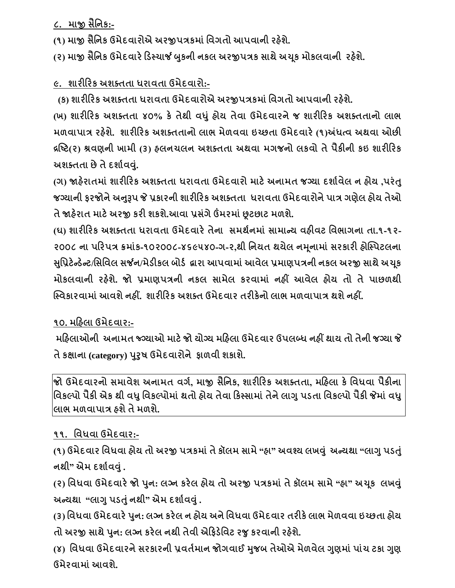**૮. માજી સૈનિક:-**

**(૧) માજી સૈનિક ઉમેદવારોએ અરજીપિકમાાં નવગતો આપવાિી રહશે ે.**

**(૨) માજી સૈનિક ઉમેદવારેહડસ્ચાર્જ બકુિી િકલ અરજીપિક સાથેઅચ ક મોકલવાિી રહશે ે.**

**૯. શારીહરક અશતતતા ધરાવતા ઉમેદવારો:-**

 **(ક) શારીહરક અશતતતા ધરાવતા ઉમેદવારોએ અરજીપિકમાાં નવગતો આપવાિી રહશે ે.**

**(ખ) શારીહરક અશતતતા ૪૦% કેતેથી વધાંુહોય તેવા ઉમેદવારિેજ શારીહરક અશતતતાિો લાભ મળવાપાિ રહશે ે. શારીહરક અશતતતાિો લાભ મેળવવા ઇચ્છતા ઉમેદવારે(૧)અંધત્વ અથવા ઓછી દ્રષ્ષ્ટ(૨) શ્રવણિી ખામી (૩) હલિચલિ અશતતતા અથવા મગજિો લકવો તેપૈકીિી કઇ શારીહરક અશતતતા છેતેદશાગવવ.ાંુ**

**(ગ) જાહરે ાતમાાં શારીહરક અશતતતા ધરાવતા ઉમેદવારો માટેઅિામત જનયા દશાગવેલ િ હોય ,પરાંતુ જનયાિી ફરજોિેઅનરૂુપ જે પ્રકારિી શારીહરક અશતતતા ધરાવતા ઉમેદવારોિેપાિ ગણેલ હોય તેઓ તેજાહરે ાત માટેઅરજી કરી શકશ.ેઆવા પ્રસગાં ેઉંમરમાાંછૂટછાટ મળશે.**

**(ઘ) શારીહરક અશતતતા ધરાવતા ઉમેદવારેતેિા સમથગિમાાં સામાન્ય વહીવટ નવભાગિા તા.૧-૧૨- ૨૦૦૮ િા પહરપિ ક્રમાાંક-૧૦૨૦૦૮-૪૬૯૫૪૦-ગ-૨,થી નિયત થયેલ િમ િામાાં સરકારી હોગ્સ્પટલિા સનુપ્રટેન્ડેન્ટ/નસનવલ સર્જિ/મેડીકલ િોડગ દ્વારા આપવામાાંઆવેલ પ્રમાણપિિી િકલ અરજી સાથેઅચ ક મોકલવાિી રહશે . ે જો પ્રમાણપિિી િકલ સામેલ કરવામાાં િહીં આવેલ હોય તો તેપાછળથી ગ્સ્વકારવામાાંઆવશેિહીં. શારીહરક અશતત ઉમેદવાર તરીકેિો લાભ મળવાપાિ થશેિહીં.**

**૧૦. મહહલા ઉમેદવાર:-**

**મહહલાઓિી અિામત જ્ગનયાઓ માટેજો યોનય મહહલા ઉમેદવાર ઉપલબ્ધ િહીં થાય તો તેિી જનયા જે તેકક્ષાિા (category) પરુુષ ઉમેદવારોિે ફાળવી શકાશે.**

**જો ઉમેદવારિો સમાવેશ અિામત વગગ, માજી સૈનિક, શારીહરક અશતતતા, મહહલા કેનવધવા પૈકીિા નવકલ્પો પૈકી એક થી વધુનવકલ્પોમાાંથતો હોય તેવા હકસ્સામાાંતેિેલાગુપડતા નવકલ્પો પૈકી જેમાાંવધુ લાભ મળવાપાિ હશેતેમળશે.** 

## **૧૧. નવધવા ઉમેદવાર:-**

**(૧) ઉમેદવાર નવધવા હોય તો અરજી પિકમાાંતેકૉલમ સામે"હા" અવશ્ય લખવ ાંુઅન્યથા "લાગુપડતાંુ િથી" એમ દશાગવવાંુ.**

(૨) વિધવા ઉમેદવારે જો પુન: લગ્ન કરેલ હોય તો અરજી પત્રકમાં તે કૉલમ સામે "હા" અચૂક લખવું **અન્યથા "લાગુપડતાંુિથી" એમ દશાગવવાંુ.**

**(૩) નવધવા ઉમેદવારેપિુ : લનિ કરેલ િ હોય અિેનવધવા ઉમેદવાર તરીકેલાભ મેળવવા ઇચ્છતા હોય તો અરજી સાથેપિુ : લનિ કરેલ િથી તેવી એહફડેનવટ રજુકરવાિી રહશે ે.**

**(૪) નવધવા ઉમેદવારિેસરકારિી પ્રવતગમાિ જોગવાઈ મજુ િ તેઓએ મેળવેલ ગણુ માાંપાાંચ ટકા ગણુ ઉમેરવામાાંઆવશે.**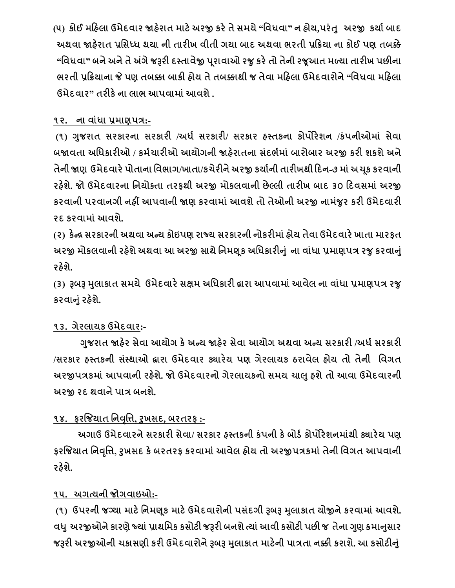(૫) કોઈ મહિલા ઉમેદવાર જાહેરાત માટે અરજી કરે તે સમચે "વિધવા" ન હોય,પરંતુ અરજી કર્યા બાદ **અથવા જાહરે ાત પ્રનસધ્ધ થયા િી તારીખ વીતી ગયા િાદ અથવા ભરતી પ્રહક્રયા િા કોઈ પણ તિક્કે "નવધવા" િિેઅિેતેઅંગેજરૂરી દસ્તાવેજી પ રાવાઓ રજુકરેતો તેિી રજ આત મળ્યા તારીખ પછીિા ભરતી પ્રહક્રયાિા જે પણ તિક્કા િાકી હોય તેતિક્કાથી જ તેવા મહહલા ઉમેદવારોિે"નવધવા મહહલા ઉમેદવાર" તરીકેિા લાભ આપવામાાંઆવશે.**

## **૧૨. િા વાાંધા પ્રમાણપિ:-**

**(૧) ગજુ રાત સરકારિા સરકારી /અધગ સરકારી/ સરકાર હસ્તકિા કોપોરેશિ /કાંપિીઓમાાં સેવા િજાવતા અનધકારીઓ / કમગચારીઓ આયોગિી જાહરે ાતિા સાંદભગમાાં િારોિાર અરજી કરી શકશેઅિે તેિી જાણ ઉમેદવારેપોતાિા નવભાગ/ખાતા/કચેરીિેઅરજી કયાગિી તારીખથી હદિ-૭ માાંઅચ ક કરવાિી રહશે ે. જો ઉમેદવારિા નિયોતતા તરફથી અરજી મોકલવાિી છેલ્લી તારીખ િાદ ૩૦ હદવસમાાં અરજી કરવાિી પરવાિગી િહીં આપવાિી જાણ કરવામાાંઆવશેતો તેઓિી અરજી િામજાં ુર કરી ઉમેદવારી રદ કરવામાાંઆવશે.**

**(૨) કેન્દ્ર સરકારિી અથવા અન્ય કોઇપણ રાજ્ય સરકારિી િોકરીમાાંહોય તેવા ઉમેદવારેખાતા મારફત અરજી મોકલવાિી રહશે ેઅથવા આ અરજી સાથેનિમણ ક અનધકારીન ાંુિા વાાંધા પ્રમાણપિ રજુકરવાનાંુ રહશે ે.**

**(૩) રૂિરૂ મલુ ાકાત સમયે ઉમેદવારેસક્ષમ અનધકારી દ્વારા આપવામાાંઆવેલ િા વાાંધા પ્રમાણપિ રજુ કરવાનાંુરહશે ે.**

## **૧૩. ગેરલાયક ઉમેદવાર:-**

 **ગજુ રાત જાહરે સેવા આયોગ કેઅન્ય જાહરે સેવા આયોગ અથવા અન્ય સરકારી /અધગસરકારી /સરકાર હસ્તકિી સાંસ્થાઓ દ્વારા ઉમેદવાર ક્યારેય પણ ગેરલાયક ઠરાવેલ હોય તો તેિી નવગત અરજીપિકમાાંઆપવાિી રહશે ે. જો ઉમેદવારિો ગેરલાયકિો સમય ચાલુહશેતો આવા ઉમેદવારિી અરજી રદ થવાિેપાિ િિશે.**

## **૧૪. ફરજજયાત નિવનૃત્ત, રુખસદ, િરતરફ :-**

 **અગાઉ ઉમેદવારિેસરકારી સેવા/ સરકાર હસ્તકિી કાંપિી કેિોડગકોપોરેશિમાથાં ી ક્યારેય પણ ફરજજયાત નિવનૃત્ત, રુખસદ કેિરતરફ કરવામાાંઆવેલ હોય તો અરજીપિકમાાંતેિી નવગત આપવાિી રહશે ે.** 

## **૧૫. અગત્યિી જોગવાઇઓ:-**

**(૧) ઉપરિી જનયા માટેનિમણ ક માટેઉમેદવારોિી પસાંદગી રૂિરૂ મલુ ાકાત યોજીિેકરવામાાંઆવશે. વધ ુઅરજીઓિેકારણેજ્યાાંપ્રાથનમક કસોટી જરૂરી િિશેત્યાાંઆવી કસોટી પછી જ તેિા ગણુ ક્રમાનસુ ાર જરૂરી અરજીઓિી ચકાસણી કરી ઉમેદવારોિેરૂિરૂ મલુ ાકાત માટેિી પાિતા િક્કી કરાશે. આ કસોટીનાંુ**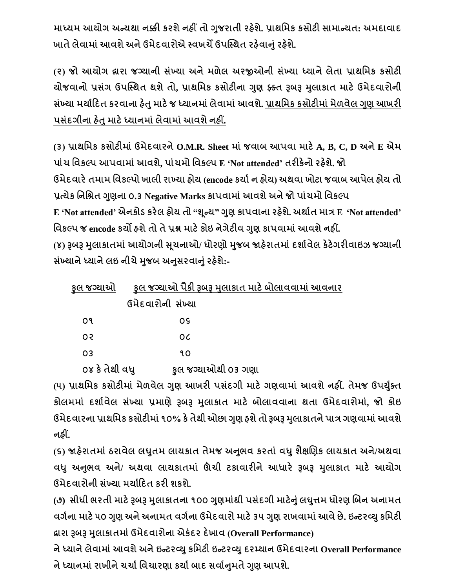**માધ્યમ આયોગ અન્યથા િક્કી કરશેિહીં તો ગજુ રાતી રહશે ે. પ્રાથનમક કસોટી સામાન્યત: અમદાવાદ ખાતેલેવામાાંઆવશેઅિેઉમેદવારોએ સ્વખચેઉપગ્સ્થત રહવે ાનાંુરહશે ે.** 

**(૨) જો આયોગ દ્વારા જનયાિી સાંખ્યા અિેમળેલ અરજીઓિી સાંખ્યા ધ્યાિેલેતા પ્રાથનમક કસોટી યોજવાિો પ્રસાંગ ઉપગ્સ્થત થશેતો, પ્રાથનમક કસોટીિા ગણુ ફ્કતત રૂિરૂ મલુ ાકાત માટેઉમેદવારોિી સાંખ્યા મયાગહદત કરવાિા હતે ુમાટેજ ધ્યાિમાાંલેવામાાંઆવશે. પ્રાથનમક કસોટીમાાંમેળવેલ ગણુ આખરી પસાંદગીિા હતે ુમાટેધ્યાિમાાંલેવામાાંઆવશેિહીં.**

**(૩) પ્રાથનમક કસોટીમાાં ઉમેદવારિેO.M.R. Sheet માાં જવાિ આપવા માટેA, B, C, D અિેE એમ પાાંચ નવકલ્પ આપવામાાંઆવશે, પાાંચમો નવકલ્પ E 'Not attended' તરીકેિો રહશે ે. જો ઉમેદવારેતમામ નવકલ્પો ખાલી રાખ્યા હોય (encode કયાગિ હોય) અથવા ખોટા જવાિ આપેલ હોય તો પ્રત્યેક નિનશ્રત ગણુ િા ૦.૩ Negative Marks કાપવામાાંઆવશેઅિેજો પાાંચમો નવકલ્પ E 'Not attended' એિકોડ કરેલ હોય તો "શ ન્ય" ગણુ કાપવાિા રહશે ે. અથાગત માિ E 'Not attended' નવકલ્પ જ encode કયો હશેતો તેપ્રશ્ન માટેકોઇ િેગેટીવ ગણુ કાપવામાાંઆવશેિહીં. (૪) રૂિરૂ મલુ ાકાતમાાંઆયોગિી સ ચિાઓ/ ધોરણો મજુ િ જાહરે ાતમાાંદશાગવેલ કેટેગરીવાઇઝ જનયાિી સખ્ાં યાિેધ્યાિેલઇ િીચેમજુ િ અનસુ રવાનાંુરહશે ે:-**

| કલ જગ્યાઓ      | કૂલ જગ્યાઓ પૈકી રૂબરૂ મુલાકાત માટે બોલાવવામાં આવનાર |  |
|----------------|-----------------------------------------------------|--|
|                | ઉમેદવારોની સંખ્યા                                   |  |
| ٥٩             | <b>OS</b>                                           |  |
| O <sub>3</sub> | OC.                                                 |  |
| 03             | ٩O                                                  |  |
|                |                                                     |  |

 **૦૪ કેતેથી વધુ કુલ જનયાઓથી ૦૩ ગણા** 

**(૫) પ્રાથનમક કસોટીમાાં મેળવેલ ગણુ આખરી પસાંદગી માટેગણવામાાં આવશેિહીં. તેમજ ઉપયતગુત કોલમમાાં દશાગવેલ સાંખ્યા પ્રમાણેરૂિરૂ મલુ ાકાત માટે િોલાવવાિા થતા ઉમેદવારોમા, ાં જો કોઇ ઉમેદવારિા પ્રાથનમક કસોટીમાાં૧૦% કેતેથી ઓછા ગણુ હશેતો રૂિરૂ મલુ ાકાતિેપાિ ગણવામાાંઆવશે િહીં.**

**(૬) જાહરે ાતમાાં ઠરાવેલ લઘતુ મ લાયકાત તેમજ અનભુ વ કરતાાં વધુશૈક્ષબણક લાયકાત અિે/અથવા વધુઅનભુ વ અિે/ અથવા લાયકાતમાાં ઊંચી ટકાવારીિેઆધારે રૂિરૂ મલુ ાકાત માટે આયોગ ઉમેદવારોિી સાંખ્યા મયાગહદત કરી શકશે.**

**(૭) સીધી ભરતી માટેરૂિરૂ મલુ ાકાતિા ૧૦૦ ગણુ માથાં ી પસાંદગી માટેનાંુલઘત્તુ મ ધોરણ બિિ અિામત વગગિા માટે૫૦ ગણુ અિેઅિામત વગગિા ઉમેદવારો માટે૩૫ ગણુ રાખવામાાંઆવેછે. ઇન્ટરવ્યુકનમટી દ્વારા રૂિરૂ મલુ ાકાતમાાંઉમેદવારોિા એકાંદર દેખાવ (Overall Performance)**

**િેધ્યાિેલેવામાાંઆવશેઅિેઇન્ટરવ્યુકનમટી ઇન્ટરવ્યુદરમ્યાિ ઉમેદવારિા Overall Performance િેધ્યાિમાાંરાખીિેચચાગનવચારણા કયાગિાદ સવાગનમુ તેગણુ આપશે.**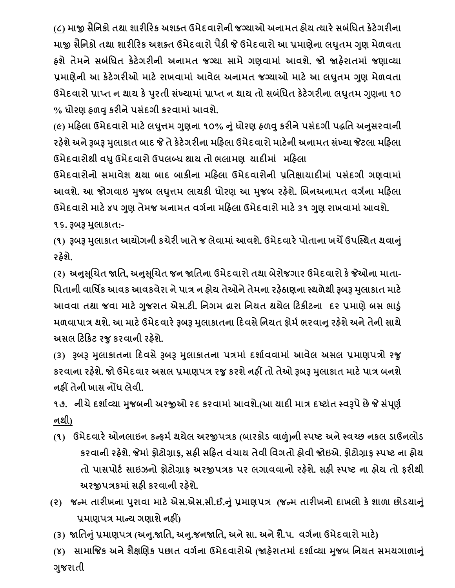**(૮) માજી સૈનિકો તથા શારીહરક અશતત ઉમેદવારોિી જનયાઓ અિામત હોય ત્યારેસિાંનધત કેટેગરીિા માજી સૈનિકો તથા શારીહરક અશતત ઉમેદવારો પૈકી જે ઉમેદવારો આ પ્રમાણેિા લઘતુ મ ગણુ મેળવતા હશેતેમિેસિાંનધત કેટેગરીિી અિામત જનયા સામેગણવામાાં આવશ. ે જો જાહરે ાતમાાં જણાવ્યા પ્રમાણેિી આ કેટેગરીઓ માટેરાખવામાાં આવેલ અિામત જનયાઓ માટેઆ લઘતુ મ ગણુ મેળવતા ઉમેદવારો પ્રાપ્ત િ થાય કેપરુતી સાંખ્યામાાંપ્રાપ્ત િ થાય તો સિાંનધત કેટેગરીિા લઘતુ મ ગણુ િા ૧૦ % ધોરણ હળવુકરીિેપસાંદગી કરવામાાંઆવશ. ે**

**(૯) મહહલા ઉમેદવારો માટેલઘત્તુ મ ગણુ િા ૧૦% નાંુધોરણ હળવુકરીિેપસાંદગી પદ્ધનત અનસુ રવાિી રહશે ેઅિેરૂિરૂ મલુ ાકાત િાદ જે તેકેટેગરીિા મહહલા ઉમેદવારો માટેિી અિામત સાંખ્યા જેટલા મહહલા ઉમેદવારોથી વધુઉમેદવારો ઉપલબ્ધ થાય તો ભલામણ યાદીમાાં મહહલા**

**ઉમેદવારોિો સમાવેશ થયા િાદ િાકીિા મહહલા ઉમેદવારોિી પ્રનતક્ષાયાદીમાાં પસાંદગી ગણવામાાં આવશ. ેઆ જોગવાઇ મજુ િ લઘત્તુ મ લાયકી ધોરણ આ મજુ િ રહશે ે. બિિઅિામત વગગિા મહહલા ઉમેદવારો માટે૪૫ ગણુ તેમજ અિામત વગગિા મહહલા ઉમેદવારો માટે૩૧ ગણુ રાખવામાાંઆવશે.** 

**૧૬. રૂિરૂ મલુ ાકાત:-**

**(૧) રૂિરૂ મલુ ાકાત આયોગિી કચેરી ખાતેજ લેવામાાંઆવશે. ઉમેદવારેપોતાિા ખચેઉપગ્સ્થત થવાનાંુ રહશે ે.**

**(૨) અનસુ બ ચત જાનત, અનસુ બ ચત જિ જાનતિા ઉમેદવારો તથા િેરોજગાર ઉમેદવારો કેજેઓિા માતા- નપતાિી વાનષિક આવક આવકવેરા િેપાિ િ હોય તેઓિેતેમિા રહઠે ાણિા સ્થળેથી રૂિરૂ મલુ ાકાત માટે આવવા તથા જવા માટેગજુ રાત એસ.ટી. નિગમ દ્વારા નિયત થયેલ હટકીટિા દર પ્રમાણેિસ ભાડુાં મળવાપાિ થશે. આ માટેઉમેદવારેરૂિરૂ મલુ ાકાતિા હદવસેનિયત ફોમગભરવાનુરહશે ેઅિેતેિી સાથે અસલ હટહકટ રજુકરવાિી રહશે ે.**

**(૩) રૂિરૂ મલુ ાકાતિા હદવસેરૂિરૂ મલુ ાકાતિા પિમાાં દશાગવવામાાં આવેલ અસલ પ્રમાણપિો રજુ કરવાિા રહશે ે. જો ઉમેદવાર અસલ પ્રમાણપિ રજુકરશેિહીં તો તેઓ રૂિરૂ મલુ ાકાત માટેપાિ િિશે િહીં તેિી ખાસ િોંધ લેવી.** 

# **૧૭. િીચેદશાગવ્યા મજુ િિી અરજીઓ રદ કરવામાાંઆવશે.(આ યાદી માિ દષ્ટાાંત સ્વરૂપેછેજે સાંપ ણગ િથી)**

- **(૧) ઉમેદવારેઓિલાઇિ કન્ફમગથયેલ અરજીપિક (િારકોડ વાળાં)િી સ્પષ્ટ અિેસ્વચ્છ િકલ ડાઉિલોડ કરવાિી રહશે . ેજેમાાંફોટોિાફ, સહી સહહત વાંચાય તેવી નવગતો હોવી જોઇએ. ફોટોિાફ સ્પષ્ટ િા હોય તો પાસપોટગ સાઇઝિો ફોટોિાફ અરજીપિક પર લગાવવાિો રહશે . ેસહી સ્પષ્ટ િા હોય તો ફરીથી અરજીપિકમાાંસહી કરવાિી રહશે ે.**
- (૨) જન્મ તારીખના પુરાવા માટે એસ.એસ.સી.ઈ.નું પ્રમાણપત્ર (જન્મ તારીખનો દાખલો કે શાળા છોડચાનું **પ્રમાણપિ માન્ય ગણાશેિહીં)**
- (3) જાતિનું પ્રમાણપત્ર (અનુ.જાતિ, અનુ.જનજાતિ, અને સા. અને શૈ.પ. વર્ગના ઉમેદવારો માટે)

**(૪) સામાજજક અિેશૈક્ષબણક પછાત વગગિા ઉમેદવારોએ (જાહરે ાતમાાં દશાગવ્યા મજુ િ નિયત સમયગાળાનાંુ ગજુ રાતી**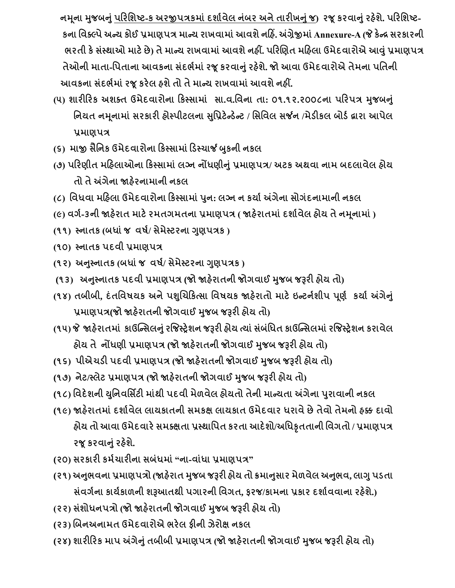**િમ િા મજુ િનાંુપહરનશષ્ટ-ક અરજીપિકમાાંદશાગવેલ િાંિર અિેતારીખનાંુજ) રજ કરવાનાંુરહશે ે. પહરનશષ્ટ- કિા નવતલ્પેઅન્ય કોઈ પ્રમાણપિ માન્ય રાખવામાાંઆવશેિહહિં. અંિેજીમાાંAnnexure-A (જે કેન્દ્ર સરકારિી ભરતી કેસાંસ્થાઓ માટેછે) તેમાન્ય રાખવામાાંઆવશેિહીં. પહરબણત મહહલા ઉમેદવારોએ આવાંુપ્રમાણપિ તેઓિી માતા-નપતાિા આવકિા સાંદભગમાાંરજ કરવાનાંુરહશે ે. જો આવા ઉમેદવારોએ તેમિા પનતિી આવકિા સાંદભગમાાંરજ કરેલ હશેતો તેમાન્ય રાખવામાાંઆવશેિહીં.** 

- (૫) શારીરિક અશક્ત ઉમેદવારોના કિસ્સામાં સા.વ.વિના તા: ૦૧.૧૨.૨૦૦૮ના પરિપત્ર મુજબનું **નિયત િમ િામાાં સરકારી હોસ્પીટલિા સનુપ્રટેન્ડેન્ટ / નસનવલ સર્જિ /મેડીકલ િોડગદ્વારા આપેલ પ્રમાણપિ**
- **(૬) માજી સૈનિક ઉમેદવારોિા હકસ્સામાાંહડસ્ચાર્જ બકુિી િકલ**
- **(૭) પહરણીત મહહલાઓિા હકસ્સામાાં લનિ િોંધણીનાંુપ્રમાણપિ/ અટક અથવા િામ િદલાવેલ હોય તો તેઅંગેિા જાહરે િામાિી િકલ**
- **(૮) નવધવા મહહલા ઉમેદવારોિા હકસ્સામાાંપિુ : લનિ િ કયાગઅંગેિા સોગાંદિામાિી િકલ**
- **(૯) વગગ-૩િી જાહરે ાત માટેરમતગમતિા પ્રમાણપિ ( જાહરે ાતમાાંદશાગવેલ હોય તેિમ િામાાં)**
- **(૧૧) સ્િાતક (િધાાંજ વષગ/ સેમેસ્ટરિા ગણુ પિક )**
- **(૧૦) સ્િાતક પદવી પ્રમાણપિ**
- **(૧૨) અનસ્ુિાતક (િધાાંજ વષગ/ સેમેસ્ટરિા ગણુ પિક )**
- **(૧૩) અનસ્ુિાતક પદવી પ્રમાણપિ (જો જાહરે ાતિી જોગવાઈ મજુ િ જરૂરી હોય તો)**
- **(૧૪) તિીિી, દાંતનવષયક અિેપશબુચહકત્સા નવષયક જાહરે ાતો માટેઇન્ટિગશીપ પ ણગ કયાગઅંગેનાંુ પ્રમાણપિ(જો જાહરે ાતિી જોગવાઈ મજુ િ જરૂરી હોય તો)**
- **(૧૫) જે જાહરે ાતમાાં કાઉગ્ન્સલનાંુરજજસ્રેશિ જરૂરી હોય ત્યાાંસાંિાંનધત કાઉગ્ન્સલમાાંરજજસ્રેશિ કરાવેલ હોય તે િોંધણી પ્રમાણપિ (જો જાહરે ાતિી જોગવાઈ મજુ િ જરૂરી હોય તો)**
- **(૧૬) પીએચડી પદવી પ્રમાણપિ (જો જાહરે ાતિી જોગવાઈ મજુ િ જરૂરી હોય તો)**
- **(૧૭) િેટ/સ્લેટ પ્રમાણપિ (જો જાહરાતિી ે જોગવાઈ મજુ િ જરૂરી હોય તો)**
- **(૧૮) નવદેશિી યનુિવનસિટી માાંથી પદવી મેળવેલ હોયતો તેિી માન્યતા અંગેિા પરુાવાિી િકલ**
- **(૧૯) જાહરે ાતમાાંદશાગવેલ લાયકાતિી સમકક્ષ લાયકાત ઉમેદવાર ધરાવેછેતેવો તેમિો હક્ક દાવો હોય તો આવા ઉમેદવારેસમતક્ષતા પ્રસ્થાનપત કરતા આદેશો/અનધકૃતતાિી નવગતો / પ્રમાણપિ રજ કરવાનાંુરહશે . ે**
- **(૨૦) સરકારી કમગચારીિા સિાંધમાાં"િા-વાાંધા પ્રમાણપિ"**
- (૨૧) અનુભવના પ્રમાણપત્રો (જાહેરાત મુજબ જરૂરી હોય તો ક્રમાનુસાર મેળવેલ અનુભવ, લાગુ પડતા **સાંવગગિા કાયગકાળિી શરૂઆતથી પગારિી નવગત, ફરજ/કામિા પ્રકાર દશાગવવાિા રહશે .)ે**
- **(૨૨) સાંશોધિપિો (જો જાહરે ાતિી જોગવાઈ મજુ િ જરૂરી હોય તો)**
- **(૨૩) બિિઅિામત ઉમેદવારોએ ભરેલ ફીિી ઝેરોક્ષ િકલ**
- **(૨૪) શારીહરક માપ અંગેનાંુતિીિી પ્રમાણપિ (જો જાહરે ાતિી જોગવાઈ મજુ િ જરૂરી હોય તો)**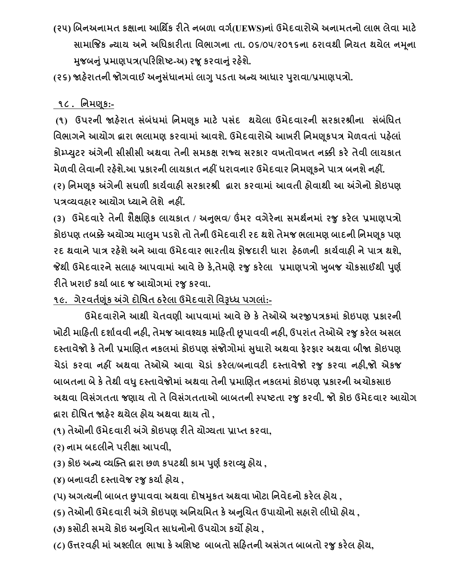**(૨૫) બિિઅિામત કક્ષાિા આનથિક રીતેિિળા વગગ(UEWS)િાાંઉમેદવારોએ અિામતિો લાભ લેવા માટે સામાજજક ન્યાય અિેઅનધકારીતા નવભાગિા તા. ૦૬/૦૫/૨૦૧૬િા ઠરાવથી નિયત થયેલ િમ િા મજુ િનાંુપ્રમાણપિ(પહરનશષ્ટ-અ) રજ કરવાનાંુરહશે ે.** 

**(૨૬) જાહરે ાતિી જોગવાઈ અનસુ ધાં ાિમાાંલાગુપડતા અન્ય આધાર પરુાવા/પ્રમાણપિો.** 

### **૧૮ . નિમણ ક:-**

**(૧) ઉપરિી જાહરે ાત સાંિાંધમાાં નિમણ ક માટે પસાંદ થયેલા ઉમેદવારિી સરકારશ્રીિા સાંિાંનધત નવભાગિેઆયોગ દ્વારા ભલામણ કરવામાાંઆવશ. ેઉમેદવારોએ આખરી નિમણ કપિ મેળવતાાં પહલે ાાં કોમ્પ્યટુર અંગેિી સીસીસી અથવા તેિી સમકક્ષ રાજ્ય સરકાર વખતોવખત િક્કી કરેતેવી લાયકાત**

**મેળવી લેવાિી રહશે ે.આ પ્રકારિી લાયકાત િહીં ધરાવિાર ઉમેદવાર નિમણક િેપાિ િિશેિહીં. (૨) નિમણ ક અંગેિી સઘળી કાયગવાહી સરકારશ્રી દ્વારા કરવામાાંઆવતી હોવાથી આ અંગેિો કોઇપણ પિવ્યવહાર આયોગ ધ્યાિેલેશે િહીં.**

**(૩) ઉમેદવારેતેિી શૈક્ષબણક લાયકાત / અનભુ વ/ ઉંમર વગેરેિા સમથગિમાાં રજુકરેલ પ્રમાણપિો કોઇપણ તિક્કેઅયોનય માલમુ પડશેતો તેિી ઉમેદવારી રદ થશેતેમજ ભલામણ િાદિી નિમણ ક પણ રદ થવાિેપાિ રહશે ેઅિેઆવા ઉમેદવાર ભારતીય ફોજદારી ધારા હઠે ળિી કાયગવાહી િેપાિ થશે, જેથી ઉમેદવારિેસલાહ આપવામાાં આવેછેકે,તેમણેરજુકરેલા પ્રમાણપિો ખિુ જ ચોકસાઈથી પણુ ગ રીતેખરાઈ કયાગિાદ જ આયોગમાાંરજુકરવા.**

**૧૯. ગેરવતગણકાં અંગેદોનષત ઠરેલા ઉમેદવારો નવરૂધ્ધ પગલાાં:-**

 **ઉમેદવારોિેઆથી ચેતવણી આપવામાાંઆવેછેકેતેઓએ અરજીપિકમાાં કોઇપણ પ્રકારિી ખોટી માહહતી દશાગવવી િહી, તેમજ આવશ્યક માહહતી છૂપાવવી િહી, ઉપરાાંત તેઓએ રજુકરેલ અસલ દસ્તાવેજો કેતેિી પ્રમાબણત િકલમાાં કોઇપણ સાંજોગોમાાં સધુ ારો અથવા ફેરફાર અથવા િીજા કોઇપણ ચેડાાં કરવા િહીં અથવા તેઓએ આવા ચેડાાં કરેલ/િિાવટી દસ્તાવેજો રજુ કરવા િહી,જો એકજ િાિતિા િેકેતેથી વધુદસ્તાવેજોમાાંઅથવા તેિી પ્રમાબણત િકલમાાંકોઇપણ પ્રકારિી અચોકસાઇ અથવા નવસાંગતતા જણાય તો તેનવસાંગતતાઓ િાિતિી સ્પષ્ટતા રજુકરવી. જો કોઇ ઉમેદવાર આયોગ દ્વારા દોનષત જાહરે થયેલ હોય અથવા થાય તો ,** 

- **(૧) તેઓિી ઉમેદવારી અંગેકોઇપણ રીતેયોનયતા પ્રાપ્ત કરવા,**
- **(ર) િામ િદલીિેપરીક્ષા આપવી,**
- **(૩) કોઇ અન્ય વ્યગ્તત દ્વારા છળ કપટથી કામ પણુ ગકરાવ્યુહોય ,**
- **(૪) િિાવટી દસ્તાવેજ રજુકયાગહોય ,**
- **(પ) અગત્યિી િાિત છુપાવવા અથવા દોષમકુત અથવા ખોટા નિવેદિો કરેલ હોય ,**
- **(૬) તેઓિી ઉમેદવારી અંગેકોઇપણ અનિયનમત કેઅનબુચત ઉપાયોિો સહારો લીધો હોય ,**
- **(૭) કસોટી સમયેકોઇ અનબચત ુ સાધિોિો ઉપયોગ કયો હોય ,**
- **(૮) ઉત્તરવહી માાંઅશ્લીલ ભાષા કેઅનશષ્ટ િાિતો સહહતિી અસાંગત િાિતો રજુકરેલ હોય,**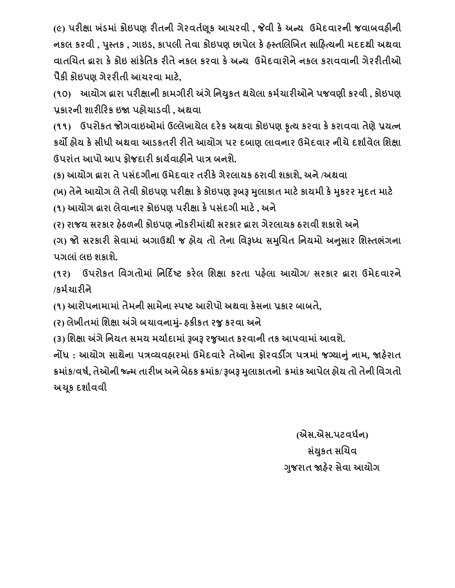**(૯) પરીક્ષા ખાંડમાાં કોઇપણ રીતિી ગેરવતગણક આચરવી , જેવી કેઅન્ય ઉમેદવારિી જવાિવહીિી િકલ કરવી , પસ્ુતક , ગાઇડ, કાપલી તેવા કોઇપણ છાપેલ કેહસ્તબલબખત સાહહત્યિી મદદથી અથવા વાતબચત દ્વારા કેકોઇ સાકાં ેનતક રીતેિકલ કરવા કેઅન્ય ઉમેદવારોિેિકલ કરાવવાિી ગેરરીતીઓ પૈકી કોઇપણ ગેરરીતી આચરવા માટે,** 

**(૧૦) આયોગ દ્વારા પરીક્ષાિી કામગીરી અંગેનિયકુત થયેલા કમગચારીઓિેપજવણી કરવી , કોઇપણ પ્રકારિી શારીહરક ઇજા પહોચાડવી , અથવા**

**(૧૧) ઉપરોકત જોગવાઇઓમાાંઉલ્લેખાયેલ દરેક અથવા કોઇપણ કૃત્ય કરવા કેકરાવવા તેણેપ્રયત્િ કયો હોય કેસીધી અથવા આડકતરી રીતેઆયોગ પર દિાણ લાવિાર ઉમેદવાર િીચેદશાગવેલ નશક્ષા ઉપરાાંત આપો આપ ફોજદારી કાયગવાહીિેપાિ િિશે.** 

**(ક) આયોગ દ્વારા તેપસાંદગીિા ઉમેદવાર તરીકેગેરલાયક ઠરાવી શકાશ, ેઅિે/અથવા**

**(ખ) તેિેઆયોગ લેતેવી કોઇપણ પરીક્ષા કેકોઇપણ રૂિરૂ મલુ ાકાત માટેકાયમી કેમકુરર મદુત માટે (૧) આયોગ દ્વારા લેવાિાર કોઇપણ પરીક્ષા કેપસાંદગી માટે, અિે**

**(ર) રાજય સરકાર હઠે ળિી કોઇપણ િોકરીમાાંથી સરકાર દ્વારા ગેરલાયક ઠરાવી શકાશેઅિે**

**(ગ) જો સરકારી સેવામાાં અગાઉથી જ હોય તો તેિા નવરૂધ્ધ સમબુચત નિયમો અનસુ ાર નશસ્તભાંગિા પગલાાંલઇ શકાશે.**

**(૧ર) ઉપરોકત નવગતોમાાં નિહદિષ્ટ કરેલ નશક્ષા કરતા પહલે ા આયોગ/ સરકાર દ્વારા ઉમેદવારિે /કમગચારીિે**

**(૧) આરોપિામામાાંતેમિી સામેિા સ્પષ્ટ આરોપો અથવા કેસિા પ્રકાર િાિતે,**

**(ર) લેખીતમાાં નશક્ષા અંગેિચાવિામ-ાંુહકીકત રજુકરવા અિે**

**(૩) નશક્ષા અંગેનિયત સમય મયાગદામાાંરૂિરૂ રજુઆત કરવાિી તક આપવામાાંઆવશ. ે**

**િોંધ : આયોગ સાથેિા પિવ્યવહારમાાં ઉમેદવારેતેઓિા ફોરવડીગ પિમાાં જનયાનાંુિામ, જાહરે ાત** ક્રમાંક/વર્ષ, તેઓની જ્ન્મ તારીખ અને બેઠક ક્રમાંક/ રૂબરૂ મુલાકાતનો ક્રમાંક આપેલ હોય તો તેની વિગતો **અચ ક દશાગવવી**

> **(એસ.એસ.પટવધગિ) સયાં કુત સબચવ ગજુ રાત જાહરે સેવા આયોગ**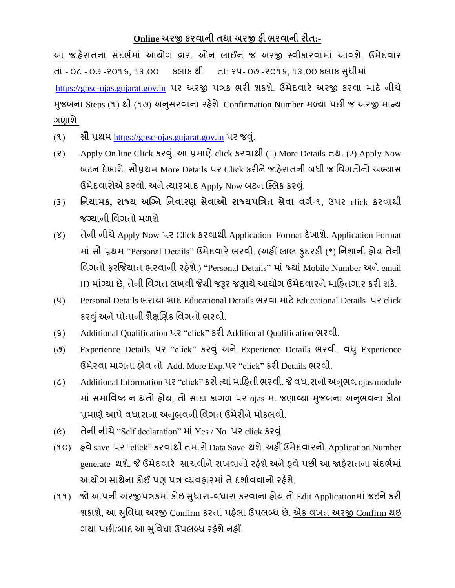### **Online અરજી કરવાિી તથા અરજી ફી ભરવાિી રીત:-**

આ જાહેરાતના સંદર્ભમાં આયોગ દ્વારા ઓન લાઈન જ અરજી સ્વીકારવામાં આવશે. ઉમેદવાર તા:- ૦૮ - ૦૭ -૨૦૧૬, ૧૩.૦૦ કલાક થી તા: ૨૫- ૦૭ -૨૦૧૬, ૧૩.૦૦ કલાક સુધીમાં [https://gpsc-ojas.gujarat.gov.in](https://gpsc-ojas.gujarat.gov.in/) પર અરજી પત્રક ભરી શકશે. ઉમેદવારે અરજી કરવા માટે નીચે મજબના Steps (૧) થી (૧૭) અનસરવાના રહેશે. Confirmation Number મળ્યા પછી જ અરજી માન્ય ગણાશે.

- (૧) સૌ પ્રથમ [https://gpsc-ojas.gujarat.gov.in](https://gpsc-ojas.gujarat.gov.in/) પર જવું.
- (૨) Apply On line Click કરવું. આ પ્રમાણે click કરવાથી (1) More Details તથા (2) Apply Now બટન દેખાશે. સૌપ્રથમ More Details પર Click કરીને જાહેરાતની બધી જ વિગતોનો અભ્યાસ ઉમેદવારોએ કરવો. અને ત્યારબાદ Apply Now બટન ક્લિક કરવું.
- (૩) **નિયામક, રાજ્ય અગ્નિ નિવારણ સેવાઓ રાજ્યપનિત સેવા વગગ-૧**, ઉપર click કરવ થી જગ્ય ની વવગતો મળશે
- (४) તેની નીચે Apply Now પર Click કરવાથી Application Format દેખાશે. Application Format માં સૌ પ્રથમ "Personal Details" ઉમેદવારે ભરવી. (અહીં લાલ ફુદરડી (\*) નિશાની હોય તેની વિગતો ફરજિયાત ભરવાની રહેશે.) "Personal Details" માં જ્યાં Mobile Number અને email ID માંગ્યા છે. તેની વિગત લખવી જેથી જરૂર જણાયે આયોગ ઉમેદવારને માહિતગાર કરી શકે.
- (૫) Personal Details ભર ય બ દ Educational Details ભરવ મ ટેEducational Details પર click કરવું અને પોતાની શૈક્ષણિક વિગતો ભરવી.
- (૬) Additional Qualification પર "click" કરી Additional Qualification ભરવી.
- (૭) Experience Details પર "click" કરવુાં અનેExperience Details ભરવી. વધુExperience ઉમેરવા માગતા હોવ તો Add. More Exp.પર "click" કરી Details ભરવી.
- (C) Additional Information પર "click" કરી ત્યાં માહિતી ભરવી. જે વધારાનો અનુભવ ojas module માં સમાવિષ્ટ ન થતો હોય, તો સાદા કાગળ પર <sub>ગંas</sub> માં જણાવ્યા મુજબના અનુભવના કોઠા પ્રમાણે આપે વધારાના અનુભવની વિગત ઉમેરીને મોકલવી.
- (૯) તેની નીચે "Self declaration" માં Yes / No પર click કરવું.
- (૧૦) હવે save પર "click" કરવાથી તમારો Data Save થશે. અહીં ઉમેદવારનો Application Number generate થશે. જે ઉમેદવારે સાચવીને રાખવાનો રહેશે અને હવે પછી આ જાહેરાતના સંદર્ભમાં આયોગ સાથેના કોઈ પણ પત્ર વ્યવહારમાં તે દર્શાવવાનો રહેશે.
- (૧૧) જો આપની અરજીપત્રકમાં કોઇ સુધારા-વધારા કરવાના હોય તો Edit Applicationમાં જઇને કરી શકાશે, આ સુવિધા અરજી Confirm કરતાં પહેલા ઉપલબ્ધ છે. એક વખત અરજી Confirm થઇ ગયા પછી/બાદ આ સુવિધા ઉપલબ્ધ રહેશે નહીં.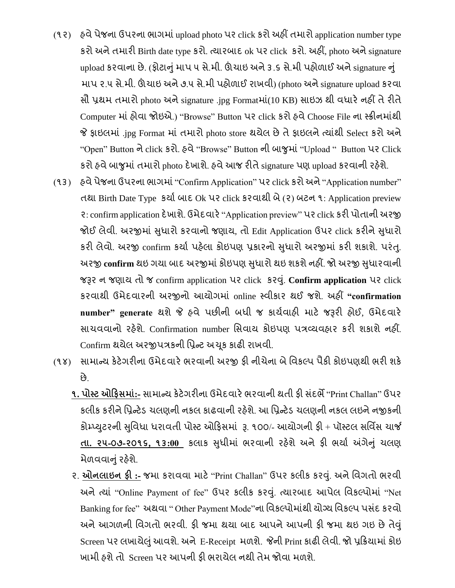(૧૨) હવે પેજના ઉપરના ભાગમાં upload photo પર click કરો અહીં તમારો application number type કરો અને તમારી Birth date type કરો. ત્યારબાદ ok પર click કરો. અહીં, photo અને signature

upload કરવાના છે. (ફોટાનું માપ ૫ સે.મી. ઊંચાઇ અને ૩.૬ સે.મી પહોળાઈ અને signature નું માપ ૨.૫ સે.મી. ઊંચાઇ અને ૭.૫ સે.મી પહોળાઈ રાખવી) (photo અને signature upload કરવા સૌ પ્રથમ તમારો photo અને signature .jpg Formatમાં(10 KB) સાઇઝ થી વધારે નહીં તે રીતે Computer માં હોવા જોઇએ.) "Browse" Button પર click કરો હવે Choose File ના સ્ક્રીનમાંથી જે ફાઇલમાં .jpg Format માં તમારો photo store થયેલ છે તે ફાઇલને ત્યાંથી Select કરો અને "Open" Button ને click કરો. હવે "Browse" Button ની બાજુમાં "Upload " Button પર Click કરો હવે બાજુમાં તમારો photo દેખાશે. હવે આજ રીતે signature પણ upload કરવાની રહેશે.

- (૧૩) હવે પેજના ઉપરના ભાગમાં "Confirm Application" પર click કરો અને "Application number" તથા Birth Date Type કર્યા બાદ Ok પર click કરવાથી બે (૨) બટન ૧: Application preview ર: confirm application દેખાશે. ઉમેદવારે "Application preview" પર click કરી પોતાની અરજી જોઈ લેવી. અરજીમાં સુધારો કરવાનો જણાય, તો Edit Application ઉપર click કરીને સુધારો કરી લેવો. અરજી confirm કર્યા પહેલા કોઇપણ પ્રકારનો સુધારો અરજીમાં કરી શકાશે. પરંતુ. અરજી confirm થઇ ગયા બાદ અરજીમાં કોઇપણ સુધારો થઇ શકશે નહીં. જો અરજી સુધારવાની જરૂર ન જણાય તો જ confirm application પર click કરવું. Confirm application પર click કરવ થી ઉમેદવ રની અરજીનો આયોગમ ાં online પવીક ર થઈ જશે. અહીં **"confirmation**  number" generate થશે જે હવે પછીની બધી જ કાર્યવાહી માટે જરૂરી હોઈ, ઉમેદવારે સાચવવાનો રહેશે. Confirmation number સિવાય કોઇપણ પત્રવ્યવહાર કરી શકાશે નહીં. Confirm થયેલ અરજીપત્રકની પ્રિન્ટ અચૂક કાઢી રાખવી.
- (૧૪) સામાન્ય કેટેગરીના ઉમેદવારે ભરવાની અરજી ફી નીચેના બે વિકલ્પ પૈકી કોઇપણથી ભરી શકે છે.
	- **૧. પોસ્ટ ઓહફસમાાં:-** સ મ ન્ય કેટેગરીન ઉમેદવ રેભરવ ની થતી ફી સ ાંદભે"Print Challan" ઉપર કલીક કરીને પ્રિન્ટેડ ચલણની નકલ કાઢવાની રહેશે. આ પ્રિન્ટેડ ચલણની નકલ લઇને નજીકની કોમ્પ્યુટરની સુવિધા ધરાવતી પોસ્ટ ઓફિસમાં રૂ. ૧૦૦/- આયોગની ફી + પૉસ્ટલ સર્વિસ ચાર્જ **તા. ૨૫-૦૭-૨૦૧૬, ૧૩:00** કલ ક સધુ ીમ ાં ભરવ ની રહશે ેઅનેફી ભય ડ અંગેનુાં ચલણ મેળવવાનું રહેશે.
	- ૨. **ઓિલાઇિ ફી :-** જમ કર વવ મ ટે"Print Challan" ઉપર કલીક કરવ. ુાં અનેવવગતો ભરવી અને ત્યાં "Online Payment of fee" ઉપર કલીક કરવું. ત્યારબાદ આપેલ વિકલ્પોમાં "Net Banking for fee" અથવા " Other Payment Mode"ના વિકલ્પોમાંથી યોગ્ય વિકલ્પ પસંદ કરવો અને આગળની વિગતો ભરવી. ફી જમા થયા બાદ આપને આપની ફી જમા થઇ ગઇ છે તેવું Screen પર લખાયેલું આવશે. અને E-Receipt મળશે. જેની Print કાઢી લેવી. જો પ્રક્રિયામાં કોઇ ખામી હશે તો Screen પર આપની કી ભરાયેલ નથી તેમ જોવા મળશે.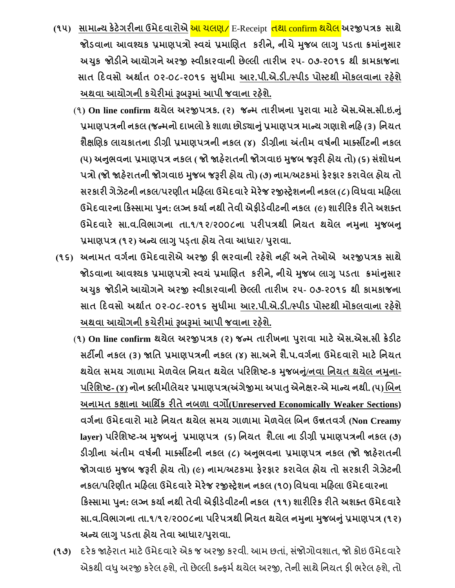- **(૧૫) સામાન્ય કેટેગરીિા ઉમેદવારોએ** આ ચલણ/ E-Receipt તથ confirm થયેલ **અરજીપિક સાથે જોડવાિા આવશ્યક પ્રમાણપિો સ્વયાં પ્રમાબણત કરીિે, િીચેમજુ િ લાગુપડતા ક્રમાનાં સુ ાર અચકુ જોડીિેઆયોગિેઅરજી સ્વીકારવાિી છેલ્લી તારીખ ૨૫- ૦૭-૨૦૧૬ થી કામકાજિા સાત હદવસો અથાગત ૦૨-૦૮-૨૦૧૬ સધુ ીમા આર.પી.એ.ડી./સ્પીડ પોસ્ટથી મોકલવાિા રહશે ે અથવા આયોગિી કચેરીમાાંરૂિરૂમાાંઆપી જવાિા રહશે ે.**
	- (૧**) On line confirm થયેલ અરજીપિક. (૨) જન્મ તારીખિા પરુાવા માટેએસ.એસ.સી.ઇ.નાંુ પ્રમાણપિિી િકલ (જન્મિો દાખલો કેશાળા છોડયાનાંુપ્રમાણપિ માન્ય ગણાશેિહહ (૩) નિયત શૈક્ષબણક લાયકાતિા ડીિી પ્રમાણપિિી િકલ (૪) ડીિીિા અંતીમ વષગિી માતસીટિી િકલ** (૫) અનુભવના પ્રમાણપત્ર નકલ ( જો જાહેરાતની જોગવાઇ મુજબ જરૂરી હોય તો) (૬) સંશોધન **પિો (જો જાહરે ાતિી જોગવાઇ મજુ િ જરૂરી હોય તો) (૭) િામ/અટકમાાંફેરફાર કરાવેલ હોય તો સરકારી ગેઝેટિી િકલ/પરણીત મહહલા ઉમેદવારેમેરેજ રજીસ્રેશિિી િકલ (૮) નવધવા મહહલા ઉમેદવારિા હકસ્સામા પિુ : લનિ કયાગિથી તેવી એફીડેવીટિી િકલ (૯) શારીહરક રીતેઅશતત ઉમેદવારે સા.વ.નવભાગિા તા.૧/૧૨/૨૦૦૮િા પરીપિથી નિયત થયેલ િમિુ ા મજુ િન ુ પ્રમાણપિ (૧૨) અન્ય લાગુપડ્તા હોય તેવા આધાર/ પરુાવા.**
- **(૧૬) અિામત વગગિા ઉમેદવારોએ અરજી ફી ભરવાિી રહશે ેિહીં અિેતેઓએ અરજીપિક સાથે જોડવાિા આવશ્યક પ્રમાણપિો સ્વયાં પ્રમાબણત કરીિે, િીચેમજુ િ લાગુપડતા ક્રમાનાં સુ ાર અચકુ જોડીિેઆયોગિેઅરજી સ્વીકારવાિી છેલ્લી તારીખ ૨૫- ૦૭-૨૦૧૬ થી કામકાજિા સાત હદવસો અથાગત ૦૨-૦૮-૨૦૧૬ સધુ ીમા આર.પી.એ.ડી./સ્પીડ પોસ્ટથી મોકલવાિા રહશે ે અથવા આયોગિી કચેરીમાાંરૂિરૂમાાંઆપી જવાિા રહશે ે.**
	- (**૧) On line confirm થયેલ અરજીપિક (૨) જન્મ તારીખિા પરુાવા માટેએસ.એસ.સી ક્રેડીટ સટીિી િકલ (૩) જાનત પ્રમાણપિિી િકલ (૪) સા.અિેશૈ.પ.વગગિા ઉમેદવારો માટેનિયત થયેલ સમય ગાળામા મેળવેલ નિયત થયેલ પહરનશષ્ટ-ક મજુ િન/ાંુિવા નિયત થયેલ િમિુ ા- પહરનશષ્ટ- (૪) િોિ તલીમીલેયર પ્રમાણપિ(અંગેજીમા અપાતુએિેક્ષર-એ માન્ય િથી. (૫) બિિ અિામત કક્ષાિા આનથિક રીતેિિળા વગો(Unreserved Economically Weaker Sections) વગગિા ઉમેદવારો માટેનિયત થયેલ સમય ગાળામા મેળવેલ બિિ ઉન્નતવગગ(Non Creamy**  layer) પરિશિષ્ટ-અ મુજબનું પ્રમાણપત્ર (૬) નિયત શૈ.લા ના ડીગ્રી પ્રમાણપત્રની નકલ (૭) **ડીિીિા અંતીમ વષગિી માતસીટિી િકલ (૮) અનભુ વિા પ્રમાણપિ િકલ (જો જાહરે ાતિી જોગવાઇ મજુ િ જરૂરી હોય તો) (૯) િામ/અટકમા ફેરફાર કરાવેલ હોય તો સરકારી ગેઝેટિી િકલ/પહરણીત મહહલા ઉમેદવારેમેરેજ રજીસ્રેશિ િકલ (૧૦) નવધવા મહહલા ઉમેદવારિા હકસ્સામા પિુ : લનિ કયાગિથી તેવી એફીડેવીટિી િકલ (૧૧) શારીહરક રીતેઅશતત ઉમેદવારે**
		- સા.વ.વિભાગના તા.૧/૧૨/૨૦૦૮ના પરિપત્રથી નિયત થયેલ નમુના મુજબનું પ્રમાણપત્ર (૧૨) **અન્ય લાગુપડતા હોય તેવા આધાર/પરુાવા.**
- **(૧૭)** દરેક જાહરે ત મ ટેઉમેદવ રેએક જ અરજી કરવી. આમ છત ાં, સ ાંજોગોવશ ત, જો કોઇ ઉમેદવ રે એકથી વધુ અરજી કરેલ હશે, તો છેલ્લી કન્ફર્મ થયેલ અરજી, તેની સાથે નિયત ફી ભરેલ હશે, તો